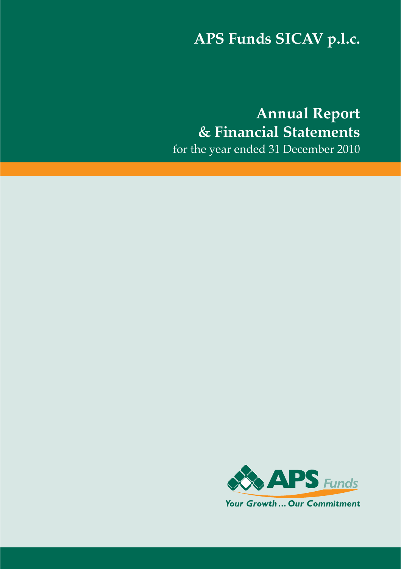**APS Funds SICAV p.l.c.**

**Annual Report & Financial Statements** for the year ended 31 December 2010



Your Growth ... Our Commitment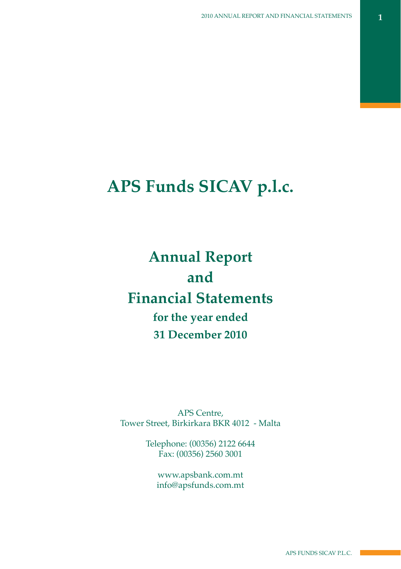# **APS Funds SICAV p.l.c.**

**Annual Report and Financial Statements for the year ended 31 December 2010**

APS Centre, Tower Street, Birkirkara BKR 4012 - Malta

> Telephone: (00356) 2122 6644 Fax: (00356) 2560 3001

> > www.apsbank.com.mt info@apsfunds.com.mt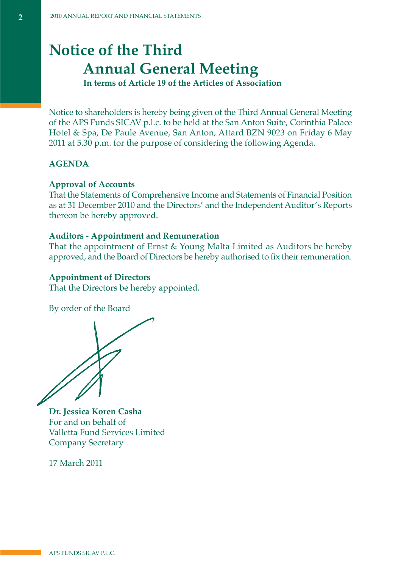# **Notice of the Third Annual General Meeting**

**In terms of Article 19 of the Articles of Association**

Notice to shareholders is hereby being given of the Third Annual General Meeting of the APS Funds SICAV p.l.c. to be held at the San Anton Suite, Corinthia Palace Hotel & Spa, De Paule Avenue, San Anton, Attard BZN 9023 on Friday 6 May 2011 at 5.30 p.m. for the purpose of considering the following Agenda.

#### **AGENDA**

#### **Approval of Accounts**

That the Statements of Comprehensive Income and Statements of Financial Position as at 31 December 2010 and the Directors' and the Independent Auditor's Reports thereon be hereby approved.

#### **Auditors - Appointment and Remuneration**

That the appointment of Ernst & Young Malta Limited as Auditors be hereby approved, and the Board of Directors be hereby authorised to fix their remuneration.

#### **Appointment of Directors**

That the Directors be hereby appointed.

By order of the Board

**Dr. Jessica Koren Casha** For and on behalf of Valletta Fund Services Limited Company Secretary

17 March 2011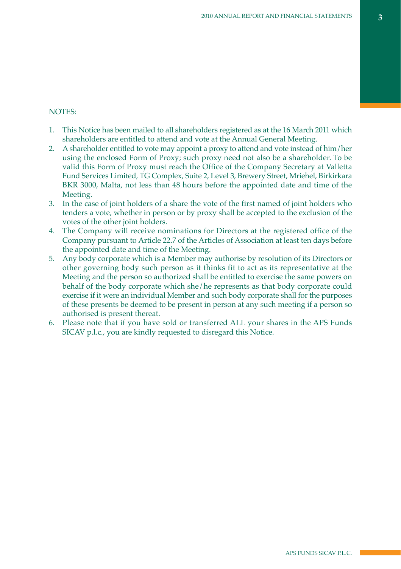#### NOTES:

- 1. This Notice has been mailed to all shareholders registered as at the 16 March 2011 which shareholders are entitled to attend and vote at the Annual General Meeting.
- 2. A shareholder entitled to vote may appoint a proxy to attend and vote instead of him/her using the enclosed Form of Proxy; such proxy need not also be a shareholder. To be valid this Form of Proxy must reach the Office of the Company Secretary at Valletta Fund Services Limited, TG Complex, Suite 2, Level 3, Brewery Street, Mriehel, Birkirkara BKR 3000, Malta, not less than 48 hours before the appointed date and time of the Meeting.
- 3. In the case of joint holders of a share the vote of the first named of joint holders who tenders a vote, whether in person or by proxy shall be accepted to the exclusion of the votes of the other joint holders.
- 4. The Company will receive nominations for Directors at the registered office of the Company pursuant to Article 22.7 of the Articles of Association at least ten days before the appointed date and time of the Meeting.
- 5. Any body corporate which is a Member may authorise by resolution of its Directors or other governing body such person as it thinks fit to act as its representative at the Meeting and the person so authorized shall be entitled to exercise the same powers on behalf of the body corporate which she/he represents as that body corporate could exercise if it were an individual Member and such body corporate shall for the purposes of these presents be deemed to be present in person at any such meeting if a person so authorised is present thereat.
- 6. Please note that if you have sold or transferred ALL your shares in the APS Funds SICAV p.l.c., you are kindly requested to disregard this Notice.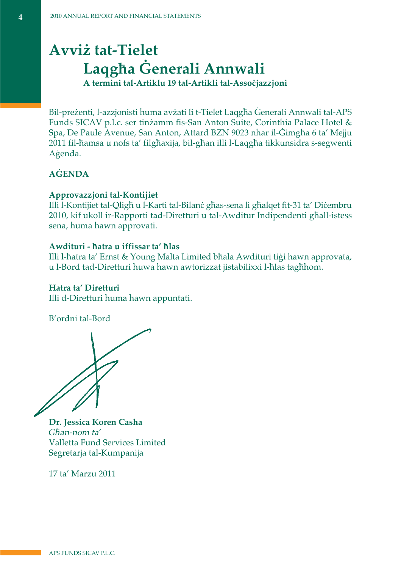### **AvviΩ tat-Tielet** Laqgha **Generali Annwali A termini tal-Artiklu 19 tal-Artikli tal-Assoçjazzjoni**

Bil-preżenti, l-azzjonisti huma avżati li t-Tielet Laqgħa Ġenerali Annwali tal-APS Funds SICAV p.l.c. ser tinżamm fis-San Anton Suite, Corinthia Palace Hotel & Spa, De Paule Avenue, San Anton, Attard BZN 9023 nhar il-Ġimgħa 6 ta' Mejju 2011 fil-ħamsa u nofs ta' filgħaxija, bil-għan illi l-Laqgħa tikkunsidra s-segwenti Aģenda.

### **AÌENDA**

#### **Approvazzjoni tal-Kontijiet**

Illi l-Kontijiet tal-Qligh u l-Karti tal-Bilanc ghas-sena li ghalqet fit-31 ta' Dicembru 2010, kif ukoll ir-Rapporti tad-Diretturi u tal-Awditur Indipendenti ghall-istess sena, huma hawn approvati.

#### **Awdituri - ˙atra u iffissar ta' ˙las**

Illi l-hatra ta' Ernst & Young Malta Limited bhala Awdituri tiği hawn approvata, u l-Bord tad-Diretturi huwa hawn awtorizzat jistabilixxi l-ħlas tagħhom.

#### **Óatra ta' Diretturi**

Illi d-Diretturi huma hawn appuntati.

B'ordni tal-Bord



**Dr. Jessica Koren Casha** *G˙an-nom ta'* Valletta Fund Services Limited Segretarja tal-Kumpanija

17 ta' Marzu 2011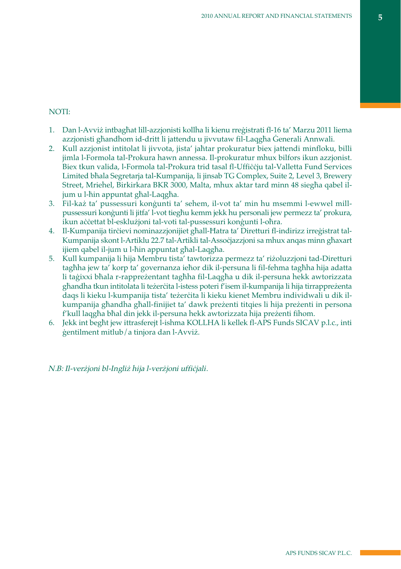#### NOTI:

- 1. Dan l-Avviż intbagħat lill-azzjonisti kollha li kienu rreġistrati fl-16 ta' Marzu 2011 liema azzjonisti ghandhom id-dritt li jattendu u jivvutaw fil-Laqgha Generali Annwali.
- 2. Kull azzjonist intitolat li jivvota, jista' jahtar prokuratur biex jattendi minfloku, billi jimla l-Formola tal-Prokura hawn annessa. Il-prokuratur mhux bilfors ikun azzjonist. Biex tkun valida, l-Formola tal-Prokura trid tasal fl-Uffiççju tal-Valletta Fund Services Limited bhala Segretarja tal-Kumpanija, li jinsab TG Complex, Suite 2, Level 3, Brewery Street, Mriehel, Birkirkara BKR 3000, Malta, mhux aktar tard minn 48 siegha qabel iljum u l-hin appuntat ghal-Laqgha.
- 3. Fil-każ ta' pussessuri konġunti ta' sehem, il-vot ta' min hu msemmi l-ewwel millpussessuri kongunti li jitfa' l-vot tieghu kemm jekk hu personali jew permezz ta' prokura, ikun aččettat bl-esklužjoni tal-voti tal-pussessuri kongunti l-ohra.
- 4. Il-Kumpanija tirčievi nominazzjonijiet għall-Ħatra ta' Diretturi fl-indirizz irreġistrat tal-Kumpanija skont l-Artiklu 22.7 tal-Artikli tal-Assočjazzjoni sa mhux anqas minn għaxart ijiem qabel il-jum u l-ħin appuntat għal-Laqgħa.
- 5. Kull kumpanija li hija Membru tista' tawtorizza permezz ta' riżoluzzjoni tad-Diretturi tagħha jew ta' korp ta' governanza ieħor dik il-persuna li fil-fehma tagħha hija adatta li tagixxi bħala r-rappreżentant tagħha fil-Laqgħa u dik il-persuna hekk awtorizzata għandha tkun intitolata li teżercita l-istess poteri f'isem il-kumpanija li hija tirrappreżenta daqs li kieku l-kumpanija tista' teżercita li kieku kienet Membru individwali u dik ilkumpanija għandha għall-finijiet ta' dawk preżenti titqies li hija preżenti in persona f'kull laqgħa bħal din jekk il-persuna hekk awtorizzata hija preżenti fihom.
- 6. Jekk int beght jew ittrasferejt l-ishma KOLLHA li kellek fl-APS Funds SICAV p.l.c., inti ©entilment mitlub/a tinjora dan l-AvviΩ.

*N.B: Il-verżjoni bl-Ingliż hija l-verżjoni uffičjali.*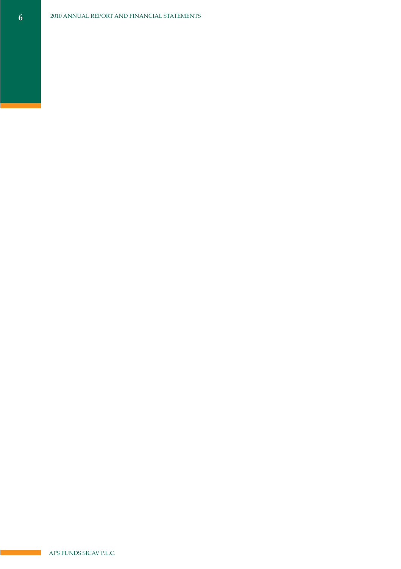- 
- 
- 
- 
- 
- 
- 
- 
- 
- -
	-
	-
	-
- - -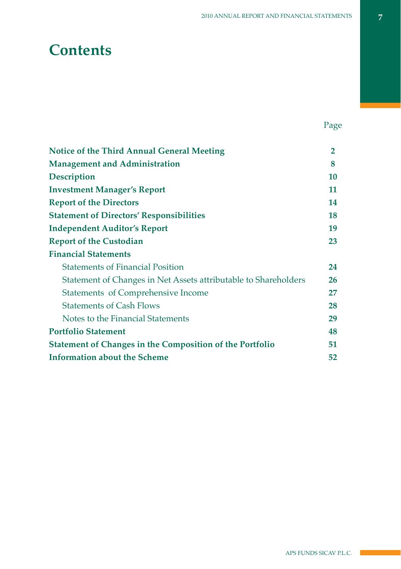### **Contents**

Page

| <b>Notice of the Third Annual General Meeting</b>               | $\overline{2}$ |
|-----------------------------------------------------------------|----------------|
| <b>Management and Administration</b>                            | 8              |
| <b>Description</b>                                              | 10             |
| <b>Investment Manager's Report</b>                              | 11             |
| <b>Report of the Directors</b>                                  | 14             |
| <b>Statement of Directors' Responsibilities</b>                 | 18             |
| <b>Independent Auditor's Report</b>                             | 19             |
| <b>Report of the Custodian</b>                                  | 23             |
| <b>Financial Statements</b>                                     |                |
| <b>Statements of Financial Position</b>                         | 24             |
| Statement of Changes in Net Assets attributable to Shareholders | 26             |
| Statements of Comprehensive Income                              | 27             |
| <b>Statements of Cash Flows</b>                                 | 28             |
| Notes to the Financial Statements                               | 29             |
| <b>Portfolio Statement</b>                                      | 48             |
| Statement of Changes in the Composition of the Portfolio        | 51             |
| <b>Information about the Scheme</b>                             | 52             |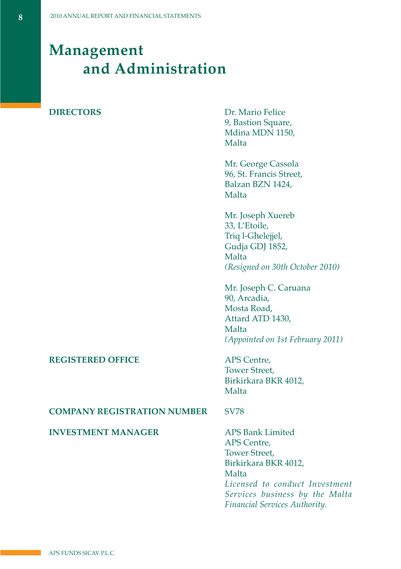### **Management and Administration**

**DIRECTORS** Dr. Mario Felice 9, Bastion Square, Mdina MDN 1150, Malta

> Mr. George Cassola 96, St. Francis Street, Balzan BZN 1424, Malta

Mr. Joseph Xuereb 33, L'Etoile, Triq l-Ghelejjel, Gudja GDJ 1852, Malta *(Resigned on 30th October 2010)*

Mr. Joseph C. Caruana 90, Arcadia, Mosta Road, Attard ATD 1430, Malta *(Appointed on 1st February 2011)*

#### **REGISTERED OFFICE** APS Centre,

Tower Street, Birkirkara BKR 4012, Malta

#### **COMPANY REGISTRATION NUMBER** SV78

#### **INVESTMENT MANAGER** APS Bank Limited

APS Centre, Tower Street, Birkirkara BKR 4012, Malta *Licensed to conduct Investment Services business by the Malta Financial Services Authority.*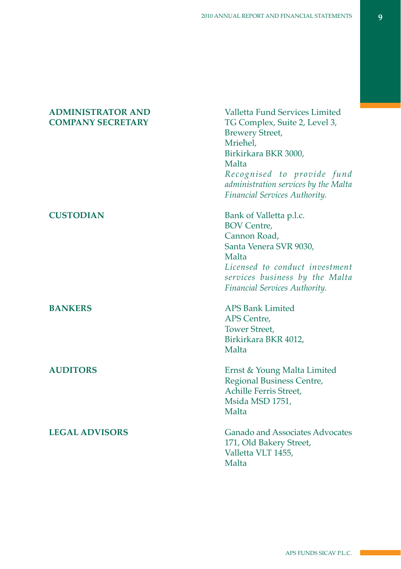**ADMINISTRATOR AND** Valletta Fund Services Limited **COMPANY SECRETARY** TG Complex, Suite 2, Level 3, Brewery Street, Mriehel. Birkirkara BKR 3000, Malta *Recognised to provide fund administration services by the Malta Financial Services Authority.*

**CUSTODIAN** Bank of Valletta p.l.c. BOV Centre, Cannon Road, Santa Venera SVR 9030, Malta *Licensed to conduct investment services business by the Malta Financial Services Authority.*

**BANKERS** APS Bank Limited APS Centre, Tower Street, Birkirkara BKR 4012, Malta

**AUDITORS** Ernst & Young Malta Limited Regional Business Centre, Achille Ferris Street, Msida MSD 1751, Malta

**LEGAL ADVISORS** Ganado and Associates Advocates 171, Old Bakery Street, Valletta VLT 1455, Malta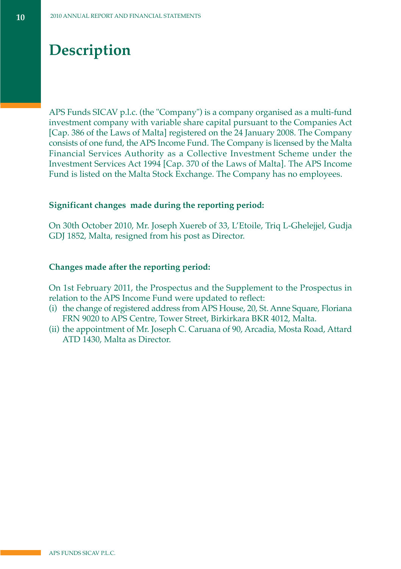### **Description**

APS Funds SICAV p.l.c. (the "Company") is a company organised as a multi-fund investment company with variable share capital pursuant to the Companies Act [Cap. 386 of the Laws of Malta] registered on the 24 January 2008. The Company consists of one fund, the APS Income Fund. The Company is licensed by the Malta Financial Services Authority as a Collective Investment Scheme under the Investment Services Act 1994 [Cap. 370 of the Laws of Malta]. The APS Income Fund is listed on the Malta Stock Exchange. The Company has no employees.

#### **Significant changes made during the reporting period:**

On 30th October 2010, Mr. Joseph Xuereb of 33, L'Etoile, Triq L-Ghelejjel, Gudja GDJ 1852, Malta, resigned from his post as Director.

#### **Changes made after the reporting period:**

On 1st February 2011, the Prospectus and the Supplement to the Prospectus in relation to the APS Income Fund were updated to reflect:

- (i) the change of registered address from APS House, 20, St. Anne Square, Floriana FRN 9020 to APS Centre, Tower Street, Birkirkara BKR 4012, Malta.
- (ii) the appointment of Mr. Joseph C. Caruana of 90, Arcadia, Mosta Road, Attard ATD 1430, Malta as Director.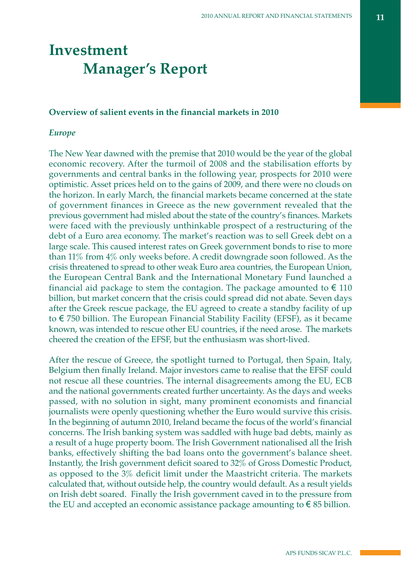### **Investment Manager's Report**

#### **Overview of salient events in the financial markets in 2010**

#### *Europe*

The New Year dawned with the premise that 2010 would be the year of the global economic recovery. After the turmoil of 2008 and the stabilisation efforts by governments and central banks in the following year, prospects for 2010 were optimistic. Asset prices held on to the gains of 2009, and there were no clouds on the horizon. In early March, the financial markets became concerned at the state of government finances in Greece as the new government revealed that the previous government had misled about the state of the country's finances. Markets were faced with the previously unthinkable prospect of a restructuring of the debt of a Euro area economy. The market's reaction was to sell Greek debt on a large scale. This caused interest rates on Greek government bonds to rise to more than 11% from 4% only weeks before. A credit downgrade soon followed. As the crisis threatened to spread to other weak Euro area countries, the European Union, the European Central Bank and the International Monetary Fund launched a financial aid package to stem the contagion. The package amounted to  $\epsilon$  110 billion, but market concern that the crisis could spread did not abate. Seven days after the Greek rescue package, the EU agreed to create a standby facility of up to € 750 billion. The European Financial Stability Facility (EFSF), as it became known, was intended to rescue other EU countries, if the need arose. The markets cheered the creation of the EFSF, but the enthusiasm was short-lived.

After the rescue of Greece, the spotlight turned to Portugal, then Spain, Italy, Belgium then finally Ireland. Major investors came to realise that the EFSF could not rescue all these countries. The internal disagreements among the EU, ECB and the national governments created further uncertainty. As the days and weeks passed, with no solution in sight, many prominent economists and financial journalists were openly questioning whether the Euro would survive this crisis. In the beginning of autumn 2010, Ireland became the focus of the world's financial concerns. The Irish banking system was saddled with huge bad debts, mainly as a result of a huge property boom. The Irish Government nationalised all the Irish banks, effectively shifting the bad loans onto the government's balance sheet. Instantly, the Irish government deficit soared to 32% of Gross Domestic Product, as opposed to the 3% deficit limit under the Maastricht criteria. The markets calculated that, without outside help, the country would default. As a result yields on Irish debt soared. Finally the Irish government caved in to the pressure from the EU and accepted an economic assistance package amounting to € 85 billion.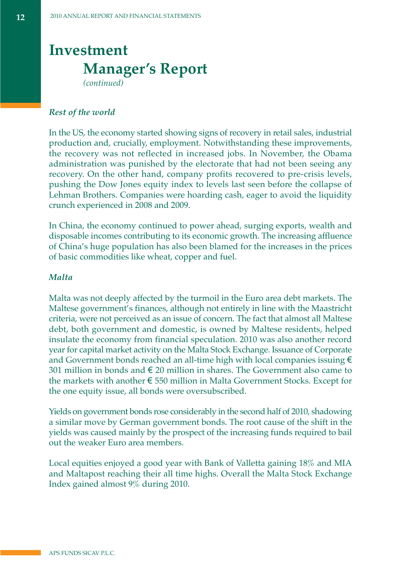### **Investment Manager's Report** *(continued)*

#### *Rest of the world*

In the US, the economy started showing signs of recovery in retail sales, industrial production and, crucially, employment. Notwithstanding these improvements, the recovery was not reflected in increased jobs. In November, the Obama administration was punished by the electorate that had not been seeing any recovery. On the other hand, company profits recovered to pre-crisis levels, pushing the Dow Jones equity index to levels last seen before the collapse of Lehman Brothers. Companies were hoarding cash, eager to avoid the liquidity crunch experienced in 2008 and 2009.

In China, the economy continued to power ahead, surging exports, wealth and disposable incomes contributing to its economic growth. The increasing affluence of China's huge population has also been blamed for the increases in the prices of basic commodities like wheat, copper and fuel.

#### *Malta*

Malta was not deeply affected by the turmoil in the Euro area debt markets. The Maltese government's finances, although not entirely in line with the Maastricht criteria, were not perceived as an issue of concern. The fact that almost all Maltese debt, both government and domestic, is owned by Maltese residents, helped insulate the economy from financial speculation. 2010 was also another record year for capital market activity on the Malta Stock Exchange. Issuance of Corporate and Government bonds reached an all-time high with local companies issuing  $\epsilon$ 301 million in bonds and  $\epsilon$  20 million in shares. The Government also came to the markets with another € 550 million in Malta Government Stocks. Except for the one equity issue, all bonds were oversubscribed.

Yields on government bonds rose considerably in the second half of 2010, shadowing a similar move by German government bonds. The root cause of the shift in the yields was caused mainly by the prospect of the increasing funds required to bail out the weaker Euro area members.

Local equities enjoyed a good year with Bank of Valletta gaining 18% and MIA and Maltapost reaching their all time highs. Overall the Malta Stock Exchange Index gained almost 9% during 2010.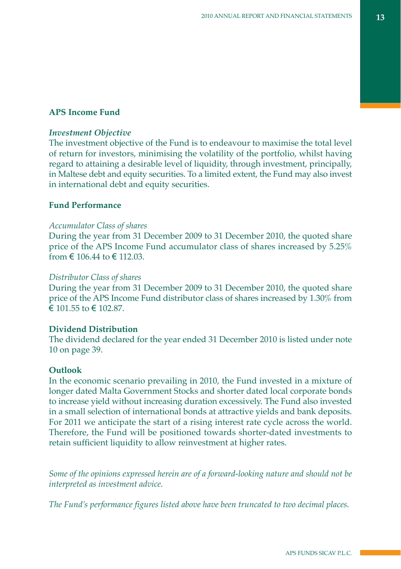### **APS Income Fund**

#### *Investment Objective*

The investment objective of the Fund is to endeavour to maximise the total level of return for investors, minimising the volatility of the portfolio, whilst having regard to attaining a desirable level of liquidity, through investment, principally, in Maltese debt and equity securities. To a limited extent, the Fund may also invest in international debt and equity securities.

#### **Fund Performance**

#### *Accumulator Class of shares*

During the year from 31 December 2009 to 31 December 2010, the quoted share price of the APS Income Fund accumulator class of shares increased by 5.25% from  $\epsilon$  106.44 to  $\epsilon$  112.03.

#### *Distributor Class of shares*

During the year from 31 December 2009 to 31 December 2010, the quoted share price of the APS Income Fund distributor class of shares increased by 1.30% from € 101.55 to € 102.87.

#### **Dividend Distribution**

The dividend declared for the year ended 31 December 2010 is listed under note 10 on page 39.

#### **Outlook**

In the economic scenario prevailing in 2010, the Fund invested in a mixture of longer dated Malta Government Stocks and shorter dated local corporate bonds to increase yield without increasing duration excessively. The Fund also invested in a small selection of international bonds at attractive yields and bank deposits. For 2011 we anticipate the start of a rising interest rate cycle across the world. Therefore, the Fund will be positioned towards shorter-dated investments to retain sufficient liquidity to allow reinvestment at higher rates.

*Some of the opinions expressed herein are of a forward-looking nature and should not be interpreted as investment advice.*

*The Fund's performance figures listed above have been truncated to two decimal places.*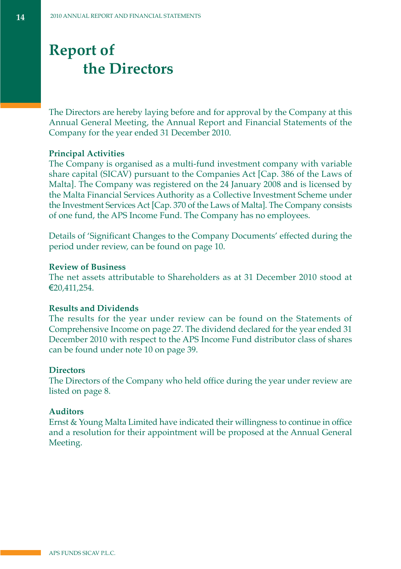## **Report of the Directors**

The Directors are hereby laying before and for approval by the Company at this Annual General Meeting, the Annual Report and Financial Statements of the Company for the year ended 31 December 2010.

#### **Principal Activities**

The Company is organised as a multi-fund investment company with variable share capital (SICAV) pursuant to the Companies Act [Cap. 386 of the Laws of Malta]. The Company was registered on the 24 January 2008 and is licensed by the Malta Financial Services Authority as a Collective Investment Scheme under the Investment Services Act [Cap. 370 of the Laws of Malta]. The Company consists of one fund, the APS Income Fund. The Company has no employees.

Details of 'Significant Changes to the Company Documents' effected during the period under review, can be found on page 10.

#### **Review of Business**

The net assets attributable to Shareholders as at 31 December 2010 stood at €20,411,254.

#### **Results and Dividends**

The results for the year under review can be found on the Statements of Comprehensive Income on page 27. The dividend declared for the year ended 31 December 2010 with respect to the APS Income Fund distributor class of shares can be found under note 10 on page 39.

#### **Directors**

The Directors of the Company who held office during the year under review are listed on page 8.

#### **Auditors**

Ernst & Young Malta Limited have indicated their willingness to continue in office and a resolution for their appointment will be proposed at the Annual General Meeting.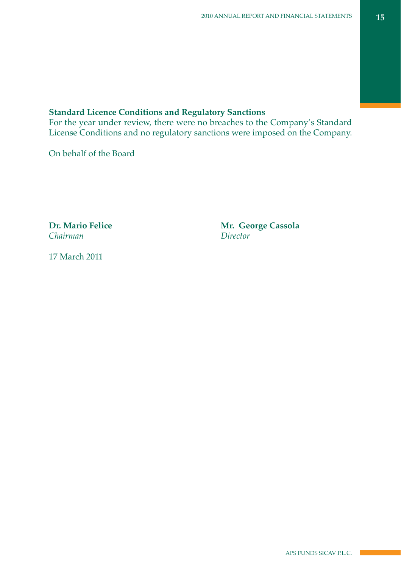#### **Standard Licence Conditions and Regulatory Sanctions**

For the year under review, there were no breaches to the Company's Standard License Conditions and no regulatory sanctions were imposed on the Company.

On behalf of the Board

*Chairman* 

**Dr. Mario Felice Mr. George Cassola**<br>Chairman Director

17 March 2011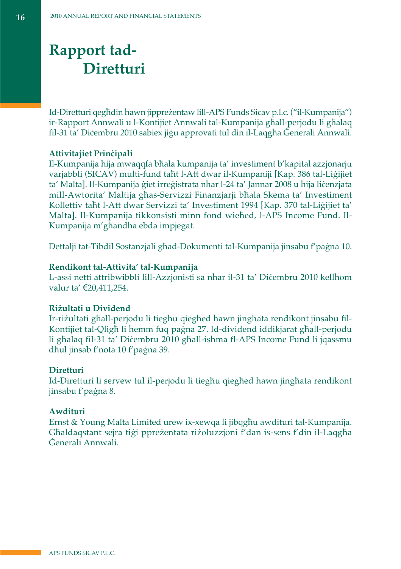## **Rapport tad-Diretturi**

Id-Diretturi qeghdin hawn jipprezentaw lill-APS Funds Sicav p.l.c. ("il-Kumpanija") ir-Rapport Annwali u l-Kontijiet Annwali tal-Kumpanija għall-perjodu li għalaq fil-31 ta' Diċembru 2010 sabiex jiġu approvati tul din il-Laqgħa Ġenerali Annwali.

#### **Attivitajiet Prinçipali**

Il-Kumpanija hija mwaqqfa b˙ala kumpanija ta' investiment b'kapital azzjonarju varjabbli (SICAV) multi-fund taht l-Att dwar il-Kumpaniji [Kap. 386 tal-Ligijiet ta' Malta]. Il-Kumpanija ģiet irreģistrata nhar l-24 ta' Jannar 2008 u hija ličenzjata mill-Awtorita' Maltija għas-Servizzi Finanzjarji bħala Skema ta' Investiment Kollettiv taht l-Att dwar Servizzi ta' Investiment 1994 [Kap. 370 tal-Ligijiet ta' Malta]. Il-Kumpanija tikkonsisti minn fond wiehed, l-APS Income Fund. Il-Kumpanija m'ghandha ebda impjegat.

Dettalji tat-Tibdil Sostanzjali għad-Dokumenti tal-Kumpanija jinsabu f'paġna 10.

#### **Rendikont tal-Attivita' tal-Kumpanija**

L-assi netti attribwibbli lill-Azzjonisti sa nhar il-31 ta' Diçembru 2010 kellhom valur ta' €20,411,254.

#### **Riżultati u Dividend**

Ir-riżultati għall-perjodu li tiegħu qiegħed hawn jingħata rendikont jinsabu fil-Kontijiet tal-Qligh li hemm fuq paġna 27. Id-dividend iddikjarat għall-perjodu li għalaq fil-31 ta' Dicembru 2010 għall-ishma fl-APS Income Fund li jqassmu dhul jinsab f'nota 10 f'paġna 39.

#### **Diretturi**

Id-Diretturi li servew tul il-perjodu li tiegħu qiegħed hawn jingħata rendikont jinsabu f'paġna 8.

#### **Awdituri**

Ernst & Young Malta Limited urew ix-xewqa li jibqgħu awdituri tal-Kumpanija. Għaldaqstant sejra tiģi ppreżentata riżoluzzjoni f'dan is-sens f'din il-Laqgħa Ìenerali Annwali.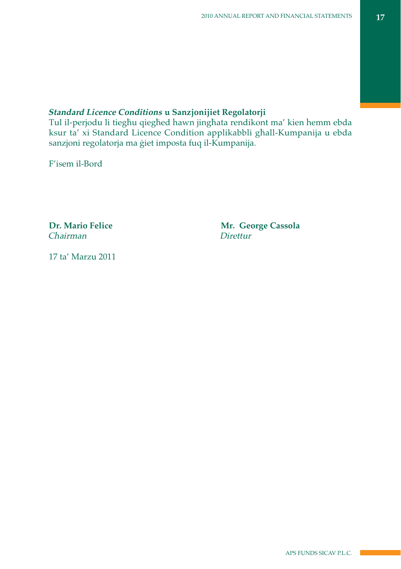### *Standard Licence Conditions* **u Sanzjonijiet Regolatorji**

Tul il-perjodu li tiegħu qiegħed hawn jingħata rendikont ma' kien hemm ebda ksur ta' xi Standard Licence Condition applikabbli għall-Kumpanija u ebda sanzjoni regolatorja ma ģiet imposta fuq il-Kumpanija.

F'isem il-Bord

*Chairman* 

**Dr. Mario Felice Mr. George Cassola**<br> *Direttur* 

17 ta' Marzu 2011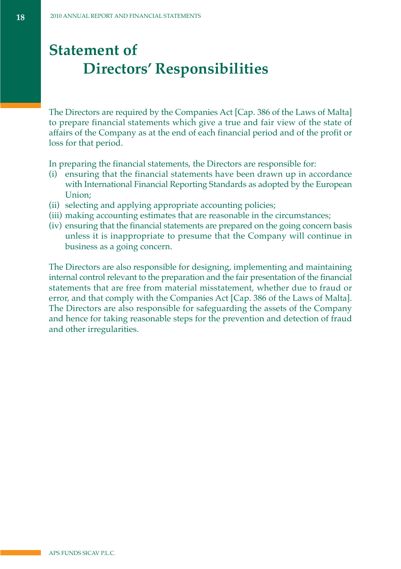### **Statement of Directors' Responsibilities**

The Directors are required by the Companies Act [Cap. 386 of the Laws of Malta] to prepare financial statements which give a true and fair view of the state of affairs of the Company as at the end of each financial period and of the profit or loss for that period.

In preparing the financial statements, the Directors are responsible for:

- (i) ensuring that the financial statements have been drawn up in accordance with International Financial Reporting Standards as adopted by the European Union;
- (ii) selecting and applying appropriate accounting policies;
- (iii) making accounting estimates that are reasonable in the circumstances;
- (iv) ensuring that the financial statements are prepared on the going concern basis unless it is inappropriate to presume that the Company will continue in business as a going concern.

The Directors are also responsible for designing, implementing and maintaining internal control relevant to the preparation and the fair presentation of the financial statements that are free from material misstatement, whether due to fraud or error, and that comply with the Companies Act [Cap. 386 of the Laws of Malta]. The Directors are also responsible for safeguarding the assets of the Company and hence for taking reasonable steps for the prevention and detection of fraud and other irregularities.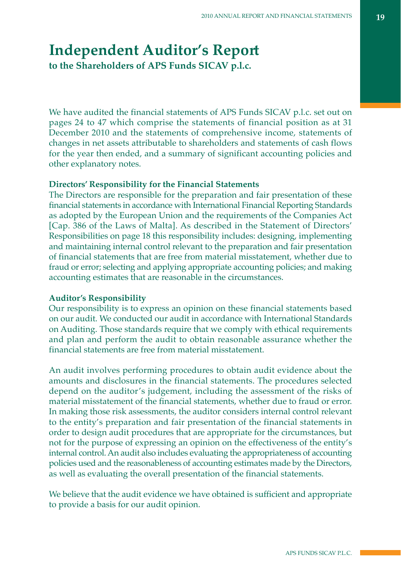### **Independent Auditor's Report to the Shareholders of APS Funds SICAV p.l.c.**

We have audited the financial statements of APS Funds SICAV p.l.c. set out on pages 24 to 47 which comprise the statements of financial position as at 31 December 2010 and the statements of comprehensive income, statements of changes in net assets attributable to shareholders and statements of cash flows for the year then ended, and a summary of significant accounting policies and other explanatory notes.

#### **Directors' Responsibility for the Financial Statements**

The Directors are responsible for the preparation and fair presentation of these financial statements in accordance with International Financial Reporting Standards as adopted by the European Union and the requirements of the Companies Act [Cap. 386 of the Laws of Malta]. As described in the Statement of Directors' Responsibilities on page 18 this responsibility includes: designing, implementing and maintaining internal control relevant to the preparation and fair presentation of financial statements that are free from material misstatement, whether due to fraud or error; selecting and applying appropriate accounting policies; and making accounting estimates that are reasonable in the circumstances.

#### **Auditor's Responsibility**

Our responsibility is to express an opinion on these financial statements based on our audit. We conducted our audit in accordance with International Standards on Auditing. Those standards require that we comply with ethical requirements and plan and perform the audit to obtain reasonable assurance whether the financial statements are free from material misstatement.

An audit involves performing procedures to obtain audit evidence about the amounts and disclosures in the financial statements. The procedures selected depend on the auditor's judgement, including the assessment of the risks of material misstatement of the financial statements, whether due to fraud or error. In making those risk assessments, the auditor considers internal control relevant to the entity's preparation and fair presentation of the financial statements in order to design audit procedures that are appropriate for the circumstances, but not for the purpose of expressing an opinion on the effectiveness of the entity's internal control. An audit also includes evaluating the appropriateness of accounting policies used and the reasonableness of accounting estimates made by the Directors, as well as evaluating the overall presentation of the financial statements.

We believe that the audit evidence we have obtained is sufficient and appropriate to provide a basis for our audit opinion.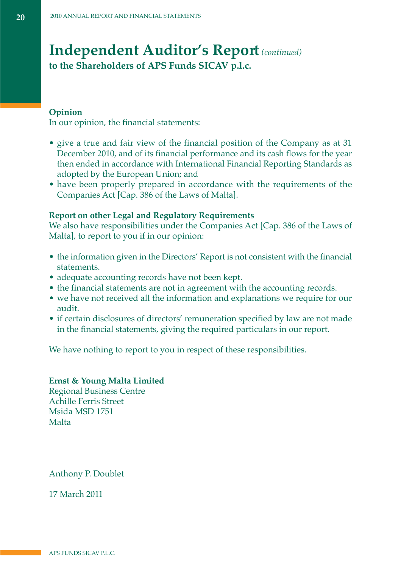### **Independent Auditor's Report** *(continued)* **to the Shareholders of APS Funds SICAV p.l.c.**

#### **Opinion**

In our opinion, the financial statements:

- give a true and fair view of the financial position of the Company as at 31 December 2010, and of its financial performance and its cash flows for the year then ended in accordance with International Financial Reporting Standards as adopted by the European Union; and
- have been properly prepared in accordance with the requirements of the Companies Act [Cap. 386 of the Laws of Malta].

#### **Report on other Legal and Regulatory Requirements**

We also have responsibilities under the Companies Act [Cap. 386 of the Laws of Malta], to report to you if in our opinion:

- the information given in the Directors' Report is not consistent with the financial statements.
- adequate accounting records have not been kept.
- the financial statements are not in agreement with the accounting records.
- we have not received all the information and explanations we require for our audit.
- if certain disclosures of directors' remuneration specified by law are not made in the financial statements, giving the required particulars in our report.

We have nothing to report to you in respect of these responsibilities.

#### **Ernst & Young Malta Limited**

Regional Business Centre Achille Ferris Street Msida MSD 1751 Malta

Anthony P. Doublet

17 March 2011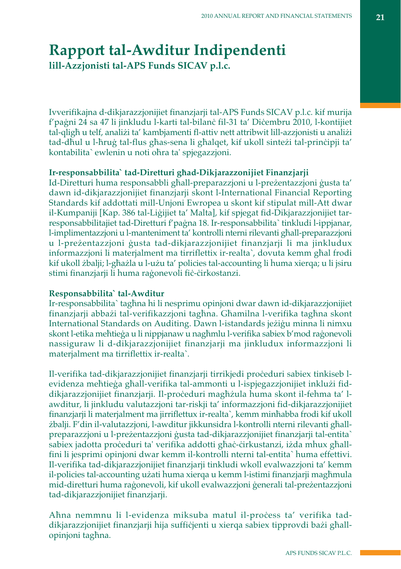Ivverifikajna d-dikjarazzjonijiet finanzjarji tal-APS Funds SICAV p.l.c. kif murija f'pa©ni 24 sa 47 li jinkludu l-karti tal-bilanç fil-31 ta' Diçembru 2010, l-kontijiet tal-qligħ u telf, analiżi ta' kambjamenti fl-attiv nett attribwit lill-azzjonisti u analiżi tad-dħul u l-ħruġ tal-flus għas-sena li għalqet, kif ukoll sinteżi tal-prinċipji ta' kontabilita` ewlenin u noti oħra ta' spjegazzjoni.

#### **Ir-responsabbilita` tad-Diretturi g˙ad-Dikjarazzonijiet Finanzjarji**

Id-Diretturi huma responsabbli għall-preparazzjoni u l-preżentazzjoni gusta ta' dawn id-dikjarazzjonijiet finanzjarji skont l-International Financial Reporting Standards kif addottati mill-Unjoni Ewropea u skont kif stipulat mill-Att dwar il-Kumpaniji [Kap. 386 tal-Liğijiet ta' Malta], kif spjegat fid-Dikjarazzjonijiet tarresponsabbilitajiet tad-Diretturi f'paġna 18. Ir-responsabbilita` tinkludi l-ippjanar, l-implimentazzjoni u l-manteniment ta' kontrolli nterni rilevanti g˙all-preparazzjoni u l-preżentazzjoni gusta tad-dikjarazzjonijiet finanzjarji li ma jinkludux informazzjoni li materjalment ma tirriflettix ir-realta`, dovuta kemm għal frodi kif ukoll żbalji; l-għażla u l-użu ta' policies tal-accounting li huma xierqa; u li jsiru stimi finanzjarji li huma raġonevoli fiċ-čirkostanzi.

#### **Responsabbilita` tal-Awditur**

Ir-responsabbilita` taghna hi li nesprimu opinjoni dwar dawn id-dikjarazzjonijiet finanzjarji abbażi tal-verifikazzjoni tagħna. Għamilna l-verifika tagħna skont International Standards on Auditing. Dawn l-istandards jeżigu minna li nimxu skont l-etika meħtieġa u li nippjanaw u nagħmlu l-verifika sabiex b'mod raġonevoli nassiguraw li d-dikjarazzjonijiet finanzjarji ma jinkludux informazzjoni li materjalment ma tirriflettix ir-realta`.

Il-verifika tad-dikjarazzjonijiet finanzjarji tirrikjedi proçeduri sabiex tinkiseb levidenza meħtieġa għall-verifika tal-ammonti u l-ispjegazzjonijiet inklużi fiddikjarazzjonijiet finanzjarji. Il-proceduri magħżula huma skont il-fehma ta' lawditur, li jinkludu valutazzjoni tar-riskji ta' informazzjoni fid-dikjarazzjonijiet finanzjarji li materjalment ma jirriflettux ir-realta`, kemm minħabba frodi kif ukoll zbalji. F'din il-valutazzjoni, l-awditur jikkunsidra l-kontrolli nterni rilevanti għallpreparazzjoni u l-preżentazzjoni gusta tad-dikjarazzjonijiet finanzjarji tal-entita` sabiex jadotta proceduri ta' verifika addotti għac-cirkustanzi, iżda mhux għallfini li jesprimi opinjoni dwar kemm il-kontrolli nterni tal-entita` huma effettivi. Il-verifika tad-dikjarazzjonijiet finanzjarji tinkludi wkoll evalwazzjoni ta' kemm il-policies tal-accounting użati huma xierqa u kemm l-istimi finanzjarji magħmula mid-diretturi huma raġonevoli, kif ukoll evalwazzjoni ġenerali tal-preżentazzjoni tad-dikjarazzjonijiet finanzjarji.

Ahna nemmnu li l-evidenza miksuba matul il-process ta' verifika taddikjarazzjonijiet finanzjarji hija suffičjenti u xierqa sabiex tipprovdi bażi għallopinjoni taghna.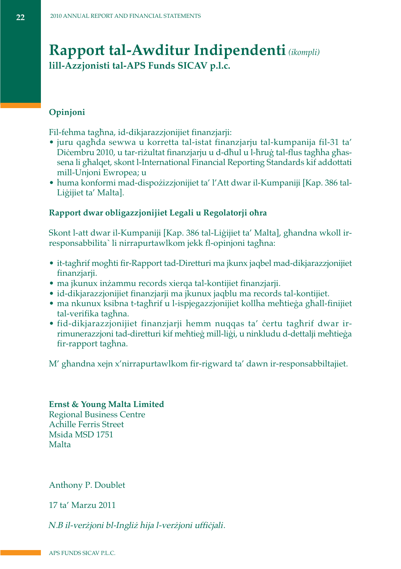### **Rapport tal-Awditur Indipendenti** *(ikompli)* **lill-Azzjonisti tal-APS Funds SICAV p.l.c.**

#### **Opinjoni**

Fil-fehma taghna, id-dikjarazzjonijiet finanzjarji:

- juru qaghda sewwa u korretta tal-istat finanzjarju tal-kumpanija fil-31 ta' Dicembru 2010, u tar-riżultat finanzjarju u d-dħul u l-ħruġ tal-flus tagħha għassena li għalqet, skont l-International Financial Reporting Standards kif addottati mill-Unjoni Ewropea; u
- huma konformi mad-dispozizzjonijiet ta' l'Att dwar il-Kumpaniji [Kap. 386 tal-Ligijiet ta' Malta].

#### Rapport dwar obligazzjonijiet Legali u Regolatorji ohra

Skont l-att dwar il-Kumpaniji [Kap. 386 tal-Liğijiet ta' Malta], għandna wkoll irresponsabbilita` li nirrapurtawlkom jekk fl-opinjoni taghna:

- it-taghrif moghti fir-Rapport tad-Diretturi ma jkunx jaqbel mad-dikjarazzjonijiet finanzjarji.
- ma įkunux inżammu records xierqa tal-kontijiet finanzjarji.
- id-dikjarazzjonijiet finanzjarji ma jkunux jaqblu ma records tal-kontijiet.
- ma nkunux ksibna t-tag $\overline{h}$ rif u l-ispjegazzjonijiet kollha me $\overline{h}$ tiega g $\overline{h}$ all-finijiet tal-verifika taghna.
- fid-dikjarazzjonijiet finanzjarji hemm nuqqas ta' certu taghrif dwar irrimunerazzjoni tad-diretturi kif meħtieġ mill-liġi, u ninkludu d-dettalji meħtieġa fir-rapport taghna.

M' ghandna xejn x'nirrapurtawlkom fir-rigward ta' dawn ir-responsabbiltajiet.

#### **Ernst & Young Malta Limited**

Regional Business Centre Achille Ferris Street Msida MSD 1751 Malta

Anthony P. Doublet

17 ta' Marzu 2011

*N.B il-verżjoni bl-Ingliż hija l-verżjoni uffičjali.*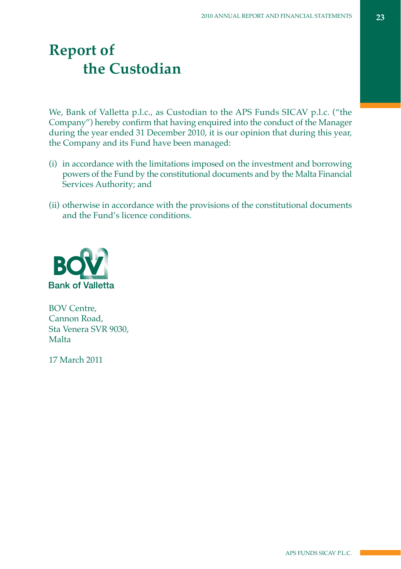### **Report of the Custodian**

We, Bank of Valletta p.l.c., as Custodian to the APS Funds SICAV p.l.c. ("the Company") hereby confirm that having enquired into the conduct of the Manager during the year ended 31 December 2010, it is our opinion that during this year, the Company and its Fund have been managed:

- (i) in accordance with the limitations imposed on the investment and borrowing powers of the Fund by the constitutional documents and by the Malta Financial Services Authority; and
- (ii) otherwise in accordance with the provisions of the constitutional documents and the Fund's licence conditions.



BOV Centre, Cannon Road, Sta Venera SVR 9030, Malta

17 March 2011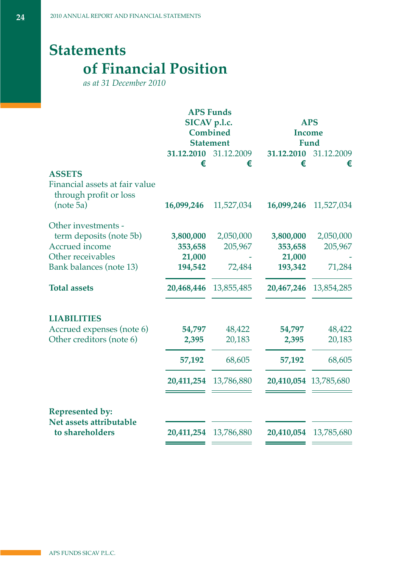# **Statements of Financial Position**

*as at 31 December 2010*

|                                                               |              | <b>APS Funds</b> |            |                       |
|---------------------------------------------------------------|--------------|------------------|------------|-----------------------|
|                                                               | SICAV p.l.c. |                  |            | <b>APS</b>            |
|                                                               |              | Combined         | Income     |                       |
|                                                               |              | <b>Statement</b> |            | Fund                  |
|                                                               | 31.12.2010   | 31.12.2009       | 31.12.2010 | 31.12.2009            |
|                                                               | €            | €                | €          | €                     |
| <b>ASSETS</b>                                                 |              |                  |            |                       |
| Financial assets at fair value                                |              |                  |            |                       |
| through profit or loss                                        |              |                  |            |                       |
| (note 5a)                                                     | 16,099,246   | 11,527,034       | 16,099,246 | 11,527,034            |
|                                                               |              |                  |            |                       |
| Other investments -                                           |              |                  |            |                       |
| term deposits (note 5b)                                       | 3,800,000    | 2,050,000        | 3,800,000  | 2,050,000             |
| Accrued income                                                | 353,658      | 205,967          | 353,658    | 205,967               |
| Other receivables                                             | 21,000       |                  | 21,000     |                       |
| Bank balances (note 13)                                       | 194,542      | 72,484           | 193,342    | 71,284                |
|                                                               |              |                  |            |                       |
| <b>Total assets</b>                                           | 20,468,446   | 13,855,485       | 20,467,246 | 13,854,285            |
|                                                               |              |                  |            |                       |
| <b>LIABILITIES</b>                                            |              |                  |            |                       |
| Accrued expenses (note 6)                                     | 54,797       | 48,422           | 54,797     | 48,422                |
| Other creditors (note 6)                                      | 2,395        | 20,183           | 2,395      | 20,183                |
|                                                               | 57,192       | 68,605           | 57,192     | 68,605                |
|                                                               | 20,411,254   | 13,786,880       |            | 20,410,054 13,785,680 |
| Represented by:<br>Net assets attributable<br>to shareholders | 20,411,254   | 13,786,880       | 20,410,054 | 13,785,680            |
|                                                               |              |                  |            |                       |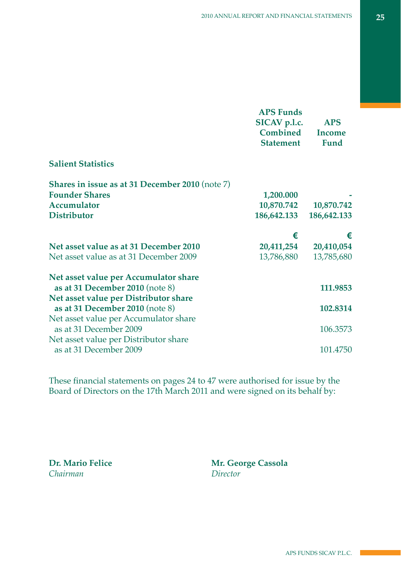|                                                        | <b>APS Funds</b><br>SICAV p.l.c.<br>Combined<br><b>Statement</b> | <b>APS</b><br>Income<br>Fund |
|--------------------------------------------------------|------------------------------------------------------------------|------------------------------|
| <b>Salient Statistics</b>                              |                                                                  |                              |
| <b>Shares in issue as at 31 December 2010 (note 7)</b> |                                                                  |                              |
| <b>Founder Shares</b>                                  | 1,200.000                                                        |                              |
| Accumulator                                            | 10,870.742                                                       | 10,870.742                   |
| <b>Distributor</b>                                     | 186,642.133                                                      | 186,642.133                  |
|                                                        | €                                                                | €                            |
| Net asset value as at 31 December 2010                 | 20,411,254                                                       | 20,410,054                   |
| Net asset value as at 31 December 2009                 | 13,786,880                                                       | 13,785,680                   |
| Net asset value per Accumulator share                  |                                                                  |                              |
| as at 31 December 2010 (note $8$ )                     |                                                                  | 111.9853                     |
| Net asset value per Distributor share                  |                                                                  |                              |
| as at 31 December 2010 (note $8$ )                     |                                                                  | 102.8314                     |
| Net asset value per Accumulator share                  |                                                                  |                              |
| as at 31 December 2009                                 |                                                                  | 106.3573                     |
| Net asset value per Distributor share                  |                                                                  |                              |
| as at 31 December 2009                                 |                                                                  | 101.4750                     |

These financial statements on pages 24 to 47 were authorised for issue by the Board of Directors on the 17th March 2011 and were signed on its behalf by:

*Chairman* 

**Dr. Mario Felice Mr. George Cassola**<br>Chairman Director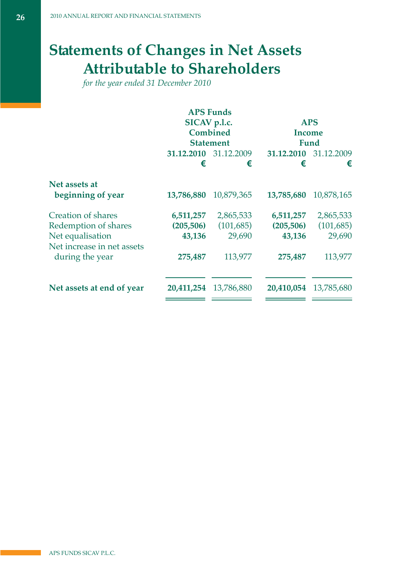## **Statements of Changes in Net Assets Attributable to Shareholders**

*for the year ended 31 December 2010*

| SICAV p.l.c.<br>Combined<br><b>Statement</b><br>€<br>13,786,880<br>6,511,257 | 31.12.2010 31.12.2009<br>€<br>10,879,365 | Income<br>€<br>13,785,680 | <b>APS</b><br>Fund<br>31.12.2010 31.12.2009<br>€<br>10,878,165 |
|------------------------------------------------------------------------------|------------------------------------------|---------------------------|----------------------------------------------------------------|
|                                                                              |                                          |                           |                                                                |
|                                                                              |                                          |                           |                                                                |
|                                                                              |                                          |                           |                                                                |
|                                                                              |                                          |                           |                                                                |
|                                                                              |                                          |                           |                                                                |
|                                                                              |                                          |                           |                                                                |
|                                                                              |                                          |                           |                                                                |
|                                                                              | 2,865,533                                | 6,511,257                 | 2,865,533                                                      |
| (205,506)                                                                    | (101,685)                                | (205,506)                 | (101, 685)                                                     |
| 43,136                                                                       | 29.690                                   | 43,136                    | 29,690                                                         |
|                                                                              | 113,977                                  | 275,487                   | 113,977                                                        |
|                                                                              |                                          |                           |                                                                |
|                                                                              | 275,487<br>20,411,254                    | 13.786.880                | 20,410,054 13,785,680                                          |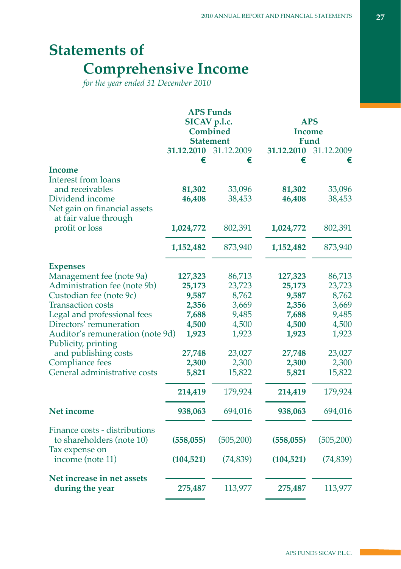## **Statements of Comprehensive Income**

*for the year ended 31 December 2010*

|                                             |                                              | <b>APS Funds</b> |            |            |  |
|---------------------------------------------|----------------------------------------------|------------------|------------|------------|--|
|                                             | SICAV p.l.c.<br>Combined<br><b>Statement</b> |                  | <b>APS</b> |            |  |
|                                             |                                              |                  | Income     |            |  |
|                                             |                                              |                  | Fund       |            |  |
|                                             | 31.12.2010                                   | 31.12.2009       | 31.12.2010 | 31.12.2009 |  |
|                                             | €                                            | €                | €          | €          |  |
| Income                                      |                                              |                  |            |            |  |
| Interest from loans                         |                                              |                  |            |            |  |
| and receivables                             | 81,302                                       | 33,096           | 81,302     | 33,096     |  |
| Dividend income                             | 46,408                                       | 38,453           | 46,408     | 38,453     |  |
| Net gain on financial assets                |                                              |                  |            |            |  |
| at fair value through                       |                                              |                  |            |            |  |
| profit or loss                              | 1,024,772                                    | 802,391          | 1,024,772  | 802,391    |  |
|                                             | 1,152,482                                    | 873,940          | 1,152,482  | 873,940    |  |
| <b>Expenses</b>                             |                                              |                  |            |            |  |
| Management fee (note 9a)                    | 127,323                                      | 86,713           | 127,323    | 86,713     |  |
| Administration fee (note 9b)                | 25,173                                       | 23,723           | 25,173     | 23,723     |  |
| Custodian fee (note 9c)                     | 9,587                                        | 8,762            | 9,587      | 8,762      |  |
| <b>Transaction costs</b>                    | 2,356                                        | 3,669            | 2,356      | 3,669      |  |
| Legal and professional fees                 | 7,688                                        | 9,485            | 7,688      | 9,485      |  |
| Directors' remuneration                     | 4,500                                        | 4,500            | 4,500      | 4,500      |  |
| Auditor's remuneration (note 9d)            | 1,923                                        | 1,923            | 1,923      | 1,923      |  |
| Publicity, printing<br>and publishing costs | 27,748                                       | 23,027           | 27,748     | 23,027     |  |
| Compliance fees                             | 2,300                                        | 2,300            | 2,300      | 2,300      |  |
| General administrative costs                | 5,821                                        | 15,822           | 5,821      | 15,822     |  |
|                                             | 214,419                                      | 179,924          | 214,419    | 179,924    |  |
| Net income                                  | 938,063                                      | 694,016          | 938,063    | 694,016    |  |
| Finance costs - distributions               |                                              |                  |            |            |  |
| to shareholders (note 10)                   | (558,055)                                    | (505, 200)       | (558, 055) | (505, 200) |  |
| Tax expense on<br>income (note 11)          | (104, 521)                                   | (74, 839)        | (104, 521) | (74, 839)  |  |
| Net increase in net assets                  |                                              |                  |            |            |  |
| during the year                             | 275,487                                      | 113,977          | 275,487    | 113,977    |  |
|                                             |                                              |                  |            |            |  |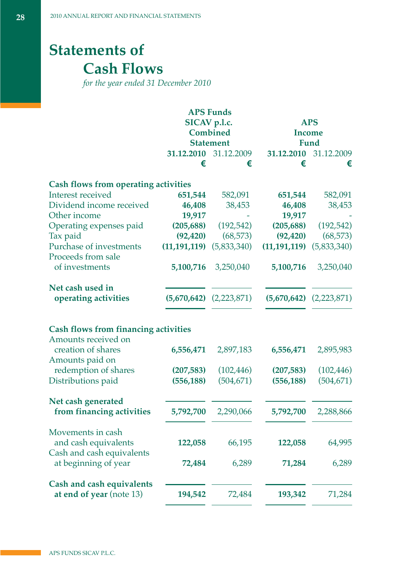# **Statements of Cash Flows**

*for the year ended 31 December 2010*

|                                                                                                      |                | <b>APS Funds</b>            |                |                             |
|------------------------------------------------------------------------------------------------------|----------------|-----------------------------|----------------|-----------------------------|
|                                                                                                      |                | SICAV p.l.c.                |                | <b>APS</b>                  |
|                                                                                                      |                | Combined                    |                | Income                      |
|                                                                                                      |                | <b>Statement</b>            |                | Fund                        |
|                                                                                                      |                | 31.12.2010 31.12.2009       | 31.12.2010     | 31.12.2009                  |
|                                                                                                      | €              | €                           | €              | €                           |
| Cash flows from operating activities                                                                 |                |                             |                |                             |
| Interest received                                                                                    | 651,544        | 582,091                     | 651,544        | 582,091                     |
| Dividend income received                                                                             | 46,408         | 38,453                      | 46,408         | 38,453                      |
| Other income                                                                                         | 19,917         |                             | 19,917         |                             |
| Operating expenses paid                                                                              | (205, 688)     | (192, 542)                  | (205, 688)     | (192, 542)                  |
| Tax paid                                                                                             | (92, 420)      | (68, 573)                   | (92, 420)      | (68, 573)                   |
| Purchase of investments                                                                              | (11, 191, 119) | (5,833,340)                 | (11, 191, 119) | (5,833,340)                 |
| Proceeds from sale                                                                                   |                |                             |                |                             |
| of investments                                                                                       | 5,100,716      | 3,250,040                   | 5,100,716      | 3,250,040                   |
| Net cash used in                                                                                     |                |                             |                |                             |
| operating activities                                                                                 |                | $(5,670,642)$ $(2,223,871)$ |                | $(5,670,642)$ $(2,223,871)$ |
| Cash flows from financing activities<br>Amounts received on<br>creation of shares<br>Amounts paid on | 6,556,471      | 2,897,183                   | 6,556,471      | 2,895,983                   |
| redemption of shares                                                                                 | (207, 583)     | (102, 446)                  | (207, 583)     | (102, 446)                  |
| Distributions paid                                                                                   | (556, 188)     | (504, 671)                  | (556, 188)     | (504, 671)                  |
| Net cash generated<br>from financing activities                                                      | 5,792,700      | 2,290,066                   | 5,792,700      | 2,288,866                   |
|                                                                                                      |                |                             |                |                             |
| Movements in cash<br>and cash equivalents<br>Cash and cash equivalents                               | 122,058        | 66,195                      | 122,058        | 64,995                      |
| at beginning of year                                                                                 | 72,484         | 6,289                       | 71,284         | 6,289                       |
| Cash and cash equivalents                                                                            |                |                             |                |                             |
| at end of year (note 13)                                                                             | 194,542        | 72,484                      | 193,342        | 71,284                      |

 $\mathcal{L}(\mathcal{A})$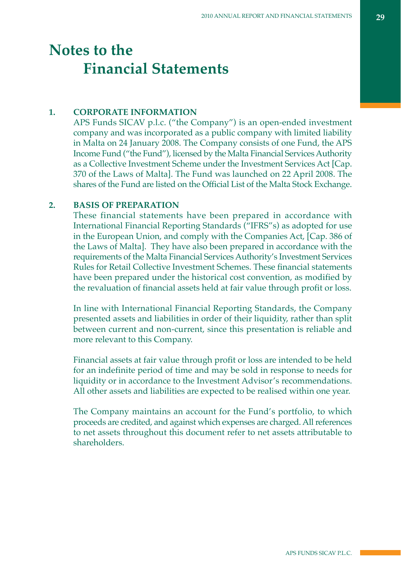### **Notes to the Financial Statements**

#### **1. CORPORATE INFORMATION**

APS Funds SICAV p.l.c. ("the Company") is an open-ended investment company and was incorporated as a public company with limited liability in Malta on 24 January 2008. The Company consists of one Fund, the APS Income Fund ("the Fund"), licensed by the Malta Financial Services Authority as a Collective Investment Scheme under the Investment Services Act [Cap. 370 of the Laws of Malta]. The Fund was launched on 22 April 2008. The shares of the Fund are listed on the Official List of the Malta Stock Exchange.

#### **2. BASIS OF PREPARATION**

These financial statements have been prepared in accordance with International Financial Reporting Standards ("IFRS"s) as adopted for use in the European Union, and comply with the Companies Act, [Cap. 386 of the Laws of Malta]. They have also been prepared in accordance with the requirements of the Malta Financial Services Authority's Investment Services Rules for Retail Collective Investment Schemes. These financial statements have been prepared under the historical cost convention, as modified by the revaluation of financial assets held at fair value through profit or loss.

In line with International Financial Reporting Standards, the Company presented assets and liabilities in order of their liquidity, rather than split between current and non-current, since this presentation is reliable and more relevant to this Company.

Financial assets at fair value through profit or loss are intended to be held for an indefinite period of time and may be sold in response to needs for liquidity or in accordance to the Investment Advisor's recommendations. All other assets and liabilities are expected to be realised within one year.

The Company maintains an account for the Fund's portfolio, to which proceeds are credited, and against which expenses are charged. All references to net assets throughout this document refer to net assets attributable to shareholders.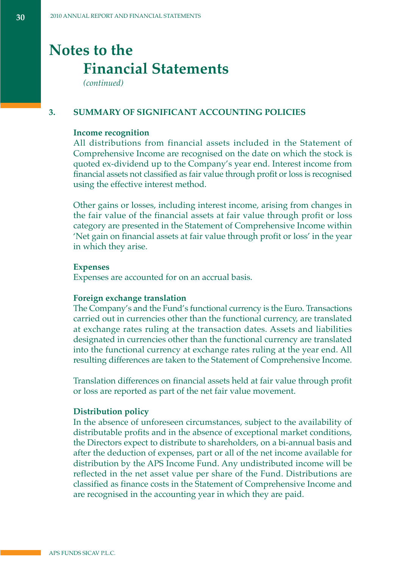### **Notes to the Financial Statements**

*(continued)*

#### **3. SUMMARY OF SIGNIFICANT ACCOUNTING POLICIES**

#### **Income recognition**

All distributions from financial assets included in the Statement of Comprehensive Income are recognised on the date on which the stock is quoted ex-dividend up to the Company's year end. Interest income from financial assets not classified as fair value through profit or loss is recognised using the effective interest method.

Other gains or losses, including interest income, arising from changes in the fair value of the financial assets at fair value through profit or loss category are presented in the Statement of Comprehensive Income within 'Net gain on financial assets at fair value through profit or loss' in the year in which they arise.

#### **Expenses**

Expenses are accounted for on an accrual basis.

#### **Foreign exchange translation**

The Company's and the Fund's functional currency is the Euro. Transactions carried out in currencies other than the functional currency, are translated at exchange rates ruling at the transaction dates. Assets and liabilities designated in currencies other than the functional currency are translated into the functional currency at exchange rates ruling at the year end. All resulting differences are taken to the Statement of Comprehensive Income.

Translation differences on financial assets held at fair value through profit or loss are reported as part of the net fair value movement.

#### **Distribution policy**

In the absence of unforeseen circumstances, subject to the availability of distributable profits and in the absence of exceptional market conditions, the Directors expect to distribute to shareholders, on a bi-annual basis and after the deduction of expenses, part or all of the net income available for distribution by the APS Income Fund. Any undistributed income will be reflected in the net asset value per share of the Fund. Distributions are classified as finance costs in the Statement of Comprehensive Income and are recognised in the accounting year in which they are paid.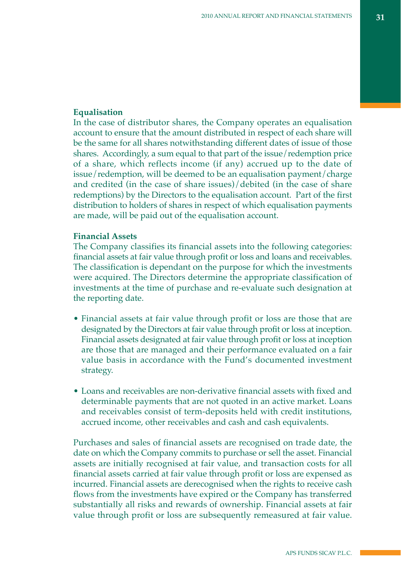### **Equalisation**

In the case of distributor shares, the Company operates an equalisation account to ensure that the amount distributed in respect of each share will be the same for all shares notwithstanding different dates of issue of those shares. Accordingly, a sum equal to that part of the issue/redemption price of a share, which reflects income (if any) accrued up to the date of issue/redemption, will be deemed to be an equalisation payment/charge and credited (in the case of share issues)/debited (in the case of share redemptions) by the Directors to the equalisation account. Part of the first distribution to holders of shares in respect of which equalisation payments are made, will be paid out of the equalisation account.

#### **Financial Assets**

The Company classifies its financial assets into the following categories: financial assets at fair value through profit or loss and loans and receivables. The classification is dependant on the purpose for which the investments were acquired. The Directors determine the appropriate classification of investments at the time of purchase and re-evaluate such designation at the reporting date.

- Financial assets at fair value through profit or loss are those that are designated by the Directors at fair value through profit or loss at inception. Financial assets designated at fair value through profit or loss at inception are those that are managed and their performance evaluated on a fair value basis in accordance with the Fund's documented investment strategy.
- Loans and receivables are non-derivative financial assets with fixed and determinable payments that are not quoted in an active market. Loans and receivables consist of term-deposits held with credit institutions, accrued income, other receivables and cash and cash equivalents.

Purchases and sales of financial assets are recognised on trade date, the date on which the Company commits to purchase or sell the asset. Financial assets are initially recognised at fair value, and transaction costs for all financial assets carried at fair value through profit or loss are expensed as incurred. Financial assets are derecognised when the rights to receive cash flows from the investments have expired or the Company has transferred substantially all risks and rewards of ownership. Financial assets at fair value through profit or loss are subsequently remeasured at fair value.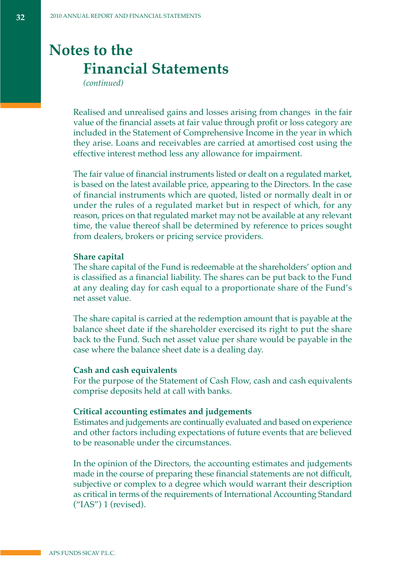## **Notes to the Financial Statements**

*(continued)*

Realised and unrealised gains and losses arising from changes in the fair value of the financial assets at fair value through profit or loss category are included in the Statement of Comprehensive Income in the year in which they arise. Loans and receivables are carried at amortised cost using the effective interest method less any allowance for impairment.

The fair value of financial instruments listed or dealt on a regulated market, is based on the latest available price, appearing to the Directors. In the case of financial instruments which are quoted, listed or normally dealt in or under the rules of a regulated market but in respect of which, for any reason, prices on that regulated market may not be available at any relevant time, the value thereof shall be determined by reference to prices sought from dealers, brokers or pricing service providers.

#### **Share capital**

The share capital of the Fund is redeemable at the shareholders' option and is classified as a financial liability. The shares can be put back to the Fund at any dealing day for cash equal to a proportionate share of the Fund's net asset value.

The share capital is carried at the redemption amount that is payable at the balance sheet date if the shareholder exercised its right to put the share back to the Fund. Such net asset value per share would be payable in the case where the balance sheet date is a dealing day.

#### **Cash and cash equivalents**

For the purpose of the Statement of Cash Flow, cash and cash equivalents comprise deposits held at call with banks.

#### **Critical accounting estimates and judgements**

Estimates and judgements are continually evaluated and based on experience and other factors including expectations of future events that are believed to be reasonable under the circumstances.

In the opinion of the Directors, the accounting estimates and judgements made in the course of preparing these financial statements are not difficult, subjective or complex to a degree which would warrant their description as critical in terms of the requirements of International Accounting Standard ("IAS") 1 (revised).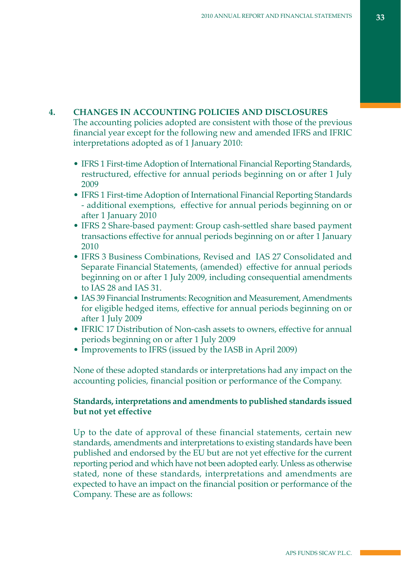#### **4. CHANGES IN ACCOUNTING POLICIES AND DISCLOSURES** The accounting policies adopted are consistent with those of the previous financial year except for the following new and amended IFRS and IFRIC interpretations adopted as of 1 January 2010:

- IFRS 1 First-time Adoption of International Financial Reporting Standards, restructured, effective for annual periods beginning on or after 1 July 2009
- IFRS 1 First-time Adoption of International Financial Reporting Standards - additional exemptions, effective for annual periods beginning on or after 1 January 2010
- IFRS 2 Share-based payment: Group cash-settled share based payment transactions effective for annual periods beginning on or after 1 January 2010
- IFRS 3 Business Combinations, Revised and IAS 27 Consolidated and Separate Financial Statements, (amended) effective for annual periods beginning on or after 1 July 2009, including consequential amendments to IAS 28 and IAS 31.
- IAS 39 Financial Instruments: Recognition and Measurement, Amendments for eligible hedged items, effective for annual periods beginning on or after 1 July 2009
- IFRIC 17 Distribution of Non-cash assets to owners, effective for annual periods beginning on or after 1 July 2009
- Improvements to IFRS (issued by the IASB in April 2009)

None of these adopted standards or interpretations had any impact on the accounting policies, financial position or performance of the Company.

#### **Standards, interpretations and amendments to published standards issued but not yet effective**

Up to the date of approval of these financial statements, certain new standards, amendments and interpretations to existing standards have been published and endorsed by the EU but are not yet effective for the current reporting period and which have not been adopted early. Unless as otherwise stated, none of these standards, interpretations and amendments are expected to have an impact on the financial position or performance of the Company. These are as follows: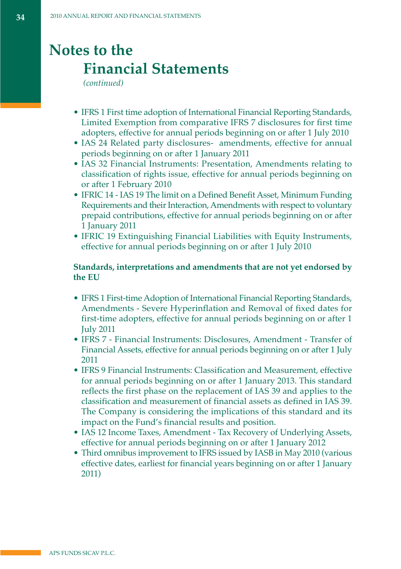### **Notes to the Financial Statements**

*(continued)*

- IFRS 1 First time adoption of International Financial Reporting Standards, Limited Exemption from comparative IFRS 7 disclosures for first time adopters, effective for annual periods beginning on or after 1 July 2010
- IAS 24 Related party disclosures- amendments, effective for annual periods beginning on or after 1 January 2011
- IAS 32 Financial Instruments: Presentation, Amendments relating to classification of rights issue, effective for annual periods beginning on or after 1 February 2010
- IFRIC 14 IAS 19 The limit on a Defined Benefit Asset, Minimum Funding Requirements and their Interaction, Amendments with respect to voluntary prepaid contributions, effective for annual periods beginning on or after 1 January 2011
- IFRIC 19 Extinguishing Financial Liabilities with Equity Instruments, effective for annual periods beginning on or after 1 July 2010

#### **Standards, interpretations and amendments that are not yet endorsed by the EU**

- IFRS 1 First-time Adoption of International Financial Reporting Standards, Amendments - Severe Hyperinflation and Removal of fixed dates for first-time adopters, effective for annual periods beginning on or after 1 July 2011
- IFRS 7 Financial Instruments: Disclosures, Amendment Transfer of Financial Assets, effective for annual periods beginning on or after 1 July 2011
- IFRS 9 Financial Instruments: Classification and Measurement, effective for annual periods beginning on or after 1 January 2013. This standard reflects the first phase on the replacement of IAS 39 and applies to the classification and measurement of financial assets as defined in IAS 39. The Company is considering the implications of this standard and its impact on the Fund's financial results and position.
- IAS 12 Income Taxes, Amendment Tax Recovery of Underlying Assets, effective for annual periods beginning on or after 1 January 2012
- Third omnibus improvement to IFRS issued by IASB in May 2010 (various effective dates, earliest for financial years beginning on or after 1 January 2011)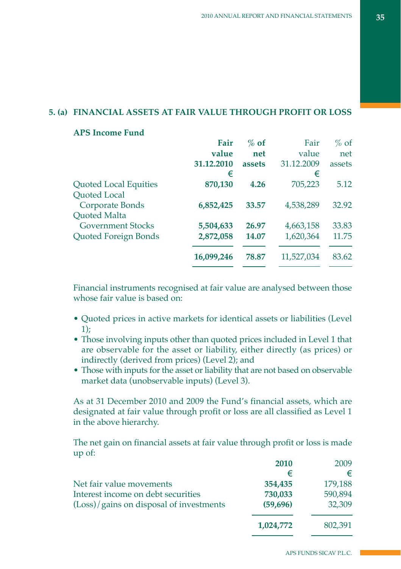#### **5. (a) FINANCIAL ASSETS AT FAIR VALUE THROUGH PROFIT OR LOSS**

#### **APS Income Fund**

|                          | Fair       | $%$ of | Fair       | $%$ of |
|--------------------------|------------|--------|------------|--------|
|                          | value      | net    | value      | net    |
|                          | 31.12.2010 | assets | 31.12.2009 | assets |
|                          | €          |        | €          |        |
| Quoted Local Equities    | 870,130    | 4.26   | 705,223    | 5.12   |
| <b>Ouoted Local</b>      |            |        |            |        |
| Corporate Bonds          | 6,852,425  | 33.57  | 4,538,289  | 32.92  |
| <b>Ouoted Malta</b>      |            |        |            |        |
| <b>Government Stocks</b> | 5,504,633  | 26.97  | 4,663,158  | 33.83  |
| Quoted Foreign Bonds     | 2,872,058  | 14.07  | 1,620,364  | 11.75  |
|                          | 16,099,246 | 78.87  | 11,527,034 | 83.62  |
|                          |            |        |            |        |

Financial instruments recognised at fair value are analysed between those whose fair value is based on:

- Quoted prices in active markets for identical assets or liabilities (Level 1);
- Those involving inputs other than quoted prices included in Level 1 that are observable for the asset or liability, either directly (as prices) or indirectly (derived from prices) (Level 2); and
- Those with inputs for the asset or liability that are not based on observable market data (unobservable inputs) (Level 3).

As at 31 December 2010 and 2009 the Fund's financial assets, which are designated at fair value through profit or loss are all classified as Level 1 in the above hierarchy.

The net gain on financial assets at fair value through profit or loss is made up of:

| 2010      | 2009<br>€ |
|-----------|-----------|
| 354,435   | 179,188   |
| 730,033   | 590,894   |
| (59,696)  | 32,309    |
| 1,024,772 | 802,391   |
|           |           |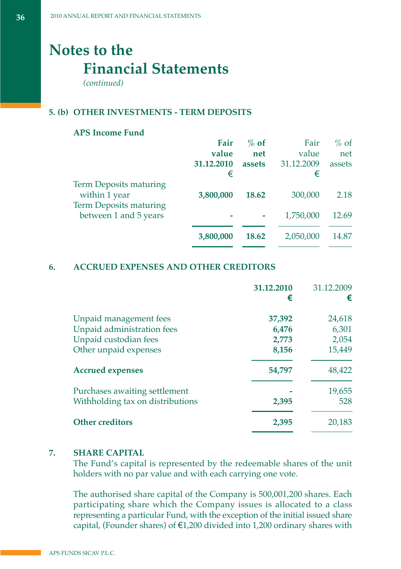## **Notes to the Financial Statements**

*(continued)*

#### **5. (b) OTHER INVESTMENTS - TERM DEPOSITS**

#### **APS Income Fund**

|                                                                          | Fair<br>value<br>31.12.2010 | $%$ of<br>net<br>assets | Fair<br>value<br>31.12.2009 | $\%$ of<br>net<br>assets |
|--------------------------------------------------------------------------|-----------------------------|-------------------------|-----------------------------|--------------------------|
|                                                                          | €                           |                         | €                           |                          |
| Term Deposits maturing<br>within 1 year<br><b>Term Deposits maturing</b> | 3,800,000                   | 18.62                   | 300,000                     | 2.18                     |
| between 1 and 5 years                                                    |                             |                         | 1,750,000                   | 12.69                    |
|                                                                          | 3,800,000                   | 18.62                   | 2,050,000                   | 14.87                    |

#### **6. ACCRUED EXPENSES AND OTHER CREDITORS**

|                                  | 31.12.2010<br>€ | 31.12.2009<br>€ |
|----------------------------------|-----------------|-----------------|
| Unpaid management fees           | 37,392          | 24,618          |
| Unpaid administration fees       | 6,476           | 6,301           |
| Unpaid custodian fees            | 2,773           | 2,054           |
| Other unpaid expenses            | 8,156           | 15,449          |
| <b>Accrued expenses</b>          | 54,797          | 48,422          |
| Purchases awaiting settlement    |                 | 19,655          |
| Withholding tax on distributions | 2,395           | 528             |
| <b>Other creditors</b>           | 2,395           | 20,183          |

#### **7. SHARE CAPITAL**

The Fund's capital is represented by the redeemable shares of the unit holders with no par value and with each carrying one vote.

The authorised share capital of the Company is 500,001,200 shares. Each participating share which the Company issues is allocated to a class representing a particular Fund, with the exception of the initial issued share capital, (Founder shares) of €1,200 divided into 1,200 ordinary shares with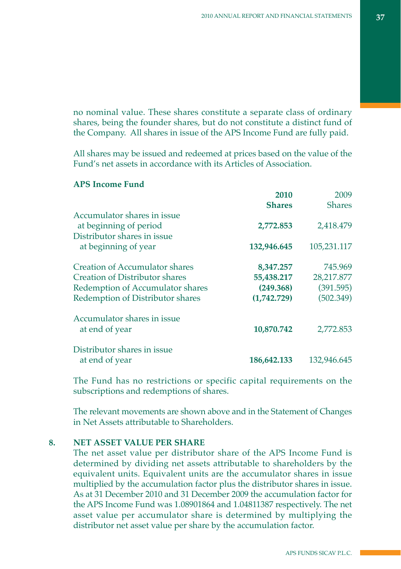no nominal value. These shares constitute a separate class of ordinary shares, being the founder shares, but do not constitute a distinct fund of the Company. All shares in issue of the APS Income Fund are fully paid.

All shares may be issued and redeemed at prices based on the value of the Fund's net assets in accordance with its Articles of Association.

| <b>APS Income Fund</b>                        |               |               |
|-----------------------------------------------|---------------|---------------|
|                                               | 2010          | 2009          |
|                                               | <b>Shares</b> | <b>Shares</b> |
| Accumulator shares in issue                   |               |               |
| at beginning of period                        | 2,772.853     | 2,418.479     |
| Distributor shares in issue                   |               |               |
| at beginning of year                          | 132,946.645   | 105,231.117   |
| Creation of Accumulator shares                | 8,347.257     | 745.969       |
| <b>Creation of Distributor shares</b>         | 55,438.217    | 28,217.877    |
| Redemption of Accumulator shares              | (249.368)     | (391.595)     |
| Redemption of Distributor shares              | (1,742,729)   | (502.349)     |
| Accumulator shares in issue<br>at end of year | 10,870.742    | 2,772.853     |
| Distributor shares in issue                   |               |               |
| at end of year                                | 186,642.133   | 132,946.645   |

The Fund has no restrictions or specific capital requirements on the subscriptions and redemptions of shares.

The relevant movements are shown above and in the Statement of Changes in Net Assets attributable to Shareholders.

#### **8. NET ASSET VALUE PER SHARE**

The net asset value per distributor share of the APS Income Fund is determined by dividing net assets attributable to shareholders by the equivalent units. Equivalent units are the accumulator shares in issue multiplied by the accumulation factor plus the distributor shares in issue. As at 31 December 2010 and 31 December 2009 the accumulation factor for the APS Income Fund was 1.08901864 and 1.04811387 respectively. The net asset value per accumulator share is determined by multiplying the distributor net asset value per share by the accumulation factor.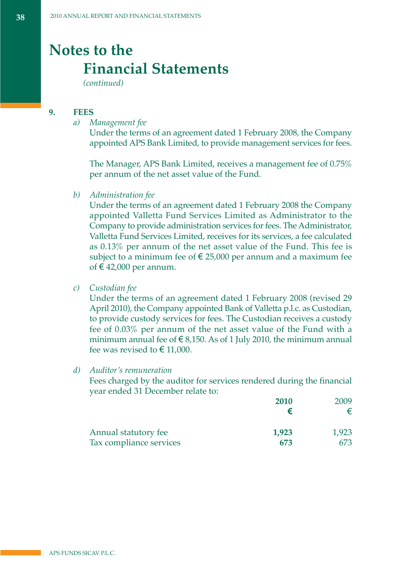### **Notes to the Financial Statements**

*(continued)*

#### **9. FEES**

*a) Management fee*

Under the terms of an agreement dated 1 February 2008, the Company appointed APS Bank Limited, to provide management services for fees.

The Manager, APS Bank Limited, receives a management fee of 0.75% per annum of the net asset value of the Fund.

#### *b) Administration fee*

Under the terms of an agreement dated 1 February 2008 the Company appointed Valletta Fund Services Limited as Administrator to the Company to provide administration services for fees. The Administrator, Valletta Fund Services Limited, receives for its services, a fee calculated as 0.13% per annum of the net asset value of the Fund. This fee is subject to a minimum fee of  $\epsilon$  25,000 per annum and a maximum fee of €42,000 per annum.

*c) Custodian fee*

Under the terms of an agreement dated 1 February 2008 (revised 29 April 2010), the Company appointed Bank of Valletta p.l.c. as Custodian, to provide custody services for fees. The Custodian receives a custody fee of 0.03% per annum of the net asset value of the Fund with a minimum annual fee of  $\epsilon$  8,150. As of 1 July 2010, the minimum annual fee was revised to  $\in$  11,000.

#### *d) Auditor's remuneration*

Fees charged by the auditor for services rendered during the financial year ended 31 December relate to:

|                         | 2010  | 2009  |
|-------------------------|-------|-------|
|                         |       | €     |
| Annual statutory fee    | 1.923 | 1.923 |
| Tax compliance services | 673   | 673   |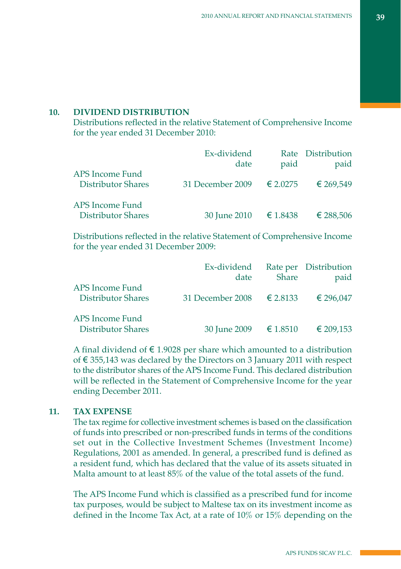**39**

#### **10. DIVIDEND DISTRIBUTION**

Distributions reflected in the relative Statement of Comprehensive Income for the year ended 31 December 2010:

|                                              | Ex-dividend<br>date | paid              | Rate Distribution<br>paid |
|----------------------------------------------|---------------------|-------------------|---------------------------|
| APS Income Fund<br><b>Distributor Shares</b> | 31 December 2009    | $\epsilon$ 2.0275 | € 269.549                 |
| APS Income Fund<br><b>Distributor Shares</b> | 30 June 2010        | $\epsilon$ 1.8438 | € 288,506                 |

Distributions reflected in the relative Statement of Comprehensive Income for the year ended 31 December 2009:

|                                              | Ex-dividend<br>date            | Share    | Rate per Distribution<br>paid |
|----------------------------------------------|--------------------------------|----------|-------------------------------|
| APS Income Fund<br><b>Distributor Shares</b> | 31 December 2008               | € 2.8133 | € 296.047                     |
| APS Income Fund<br><b>Distributor Shares</b> | 30 June 2009 $\epsilon$ 1.8510 |          | € 209,153                     |

A final dividend of  $\epsilon$  1.9028 per share which amounted to a distribution of € 355,143 was declared by the Directors on 3 January 2011 with respect to the distributor shares of the APS Income Fund. This declared distribution will be reflected in the Statement of Comprehensive Income for the year ending December 2011.

#### **11. TAX EXPENSE**

The tax regime for collective investment schemes is based on the classification of funds into prescribed or non-prescribed funds in terms of the conditions set out in the Collective Investment Schemes (Investment Income) Regulations, 2001 as amended. In general, a prescribed fund is defined as a resident fund, which has declared that the value of its assets situated in Malta amount to at least 85% of the value of the total assets of the fund.

The APS Income Fund which is classified as a prescribed fund for income tax purposes, would be subject to Maltese tax on its investment income as defined in the Income Tax Act, at a rate of 10% or 15% depending on the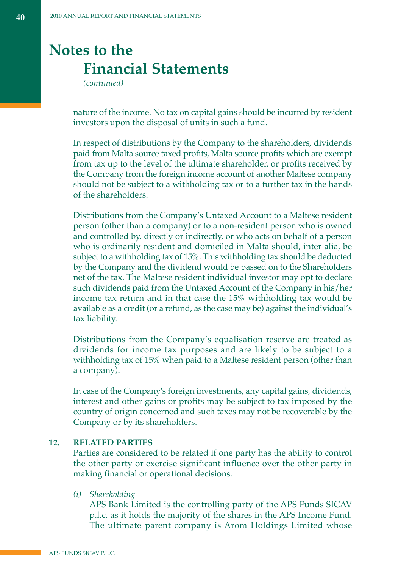### **Notes to the Financial Statements**

*(continued)*

nature of the income. No tax on capital gains should be incurred by resident investors upon the disposal of units in such a fund.

In respect of distributions by the Company to the shareholders, dividends paid from Malta source taxed profits, Malta source profits which are exempt from tax up to the level of the ultimate shareholder, or profits received by the Company from the foreign income account of another Maltese company should not be subject to a withholding tax or to a further tax in the hands of the shareholders.

Distributions from the Company's Untaxed Account to a Maltese resident person (other than a company) or to a non-resident person who is owned and controlled by, directly or indirectly, or who acts on behalf of a person who is ordinarily resident and domiciled in Malta should, inter alia, be subject to a withholding tax of 15%. This withholding tax should be deducted by the Company and the dividend would be passed on to the Shareholders net of the tax. The Maltese resident individual investor may opt to declare such dividends paid from the Untaxed Account of the Company in his/her income tax return and in that case the 15% withholding tax would be available as a credit (or a refund, as the case may be) against the individual's tax liability.

Distributions from the Company's equalisation reserve are treated as dividends for income tax purposes and are likely to be subject to a withholding tax of 15% when paid to a Maltese resident person (other than a company).

In case of the Company's foreign investments, any capital gains, dividends, interest and other gains or profits may be subject to tax imposed by the country of origin concerned and such taxes may not be recoverable by the Company or by its shareholders.

#### **12. RELATED PARTIES**

Parties are considered to be related if one party has the ability to control the other party or exercise significant influence over the other party in making financial or operational decisions.

#### *(i) Shareholding*

APS Bank Limited is the controlling party of the APS Funds SICAV p.l.c. as it holds the majority of the shares in the APS Income Fund. The ultimate parent company is Arom Holdings Limited whose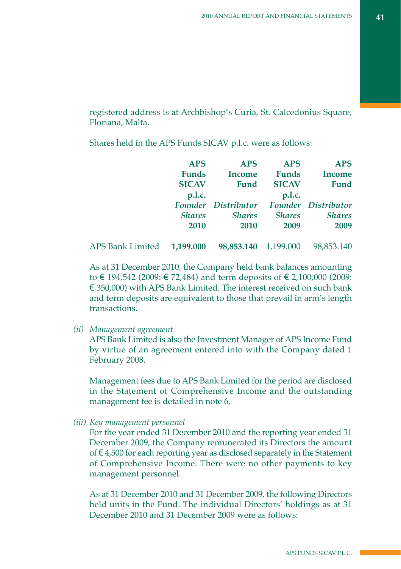registered address is at Archbishop's Curia, St. Calcedonius Square, Floriana, Malta.

Shares held in the APS Funds SICAV p.l.c. were as follows:

|                         | <b>APS</b>    | <b>APS</b>          | <b>APS</b>    | <b>APS</b>                 |
|-------------------------|---------------|---------------------|---------------|----------------------------|
|                         | <b>Funds</b>  | Income              | <b>Funds</b>  | Income                     |
|                         | <b>SICAV</b>  | Fund                | <b>SICAV</b>  | Fund                       |
|                         | p.l.c.        |                     | p.l.c.        |                            |
|                         |               | Founder Distributor |               | <b>Founder Distributor</b> |
|                         | <b>Shares</b> | <b>Shares</b>       | <b>Shares</b> | <b>Shares</b>              |
|                         | 2010          | 2010                | 2009          | 2009                       |
| <b>APS Bank Limited</b> | 1,199.000     | 98,853.140          | 1,199.000     | 98,853.140                 |

As at 31 December 2010, the Company held bank balances amounting to € 194,542 (2009: € 72,484) and term deposits of € 2,100,000 (2009:  $\epsilon$  350,000) with APS Bank Limited. The interest received on such bank and term deposits are equivalent to those that prevail in arm's length transactions.

*(ii) Management agreement*

APS Bank Limited is also the Investment Manager of APS Income Fund by virtue of an agreement entered into with the Company dated 1 February 2008.

Management fees due to APS Bank Limited for the period are disclosed in the Statement of Comprehensive Income and the outstanding management fee is detailed in note 6.

*(iii) Key management personnel*

For the year ended 31 December 2010 and the reporting year ended 31 December 2009, the Company remunerated its Directors the amount of € 4,500 for each reporting year as disclosed separately in the Statement of Comprehensive Income. There were no other payments to key management personnel.

As at 31 December 2010 and 31 December 2009, the following Directors held units in the Fund. The individual Directors' holdings as at 31 December 2010 and 31 December 2009 were as follows: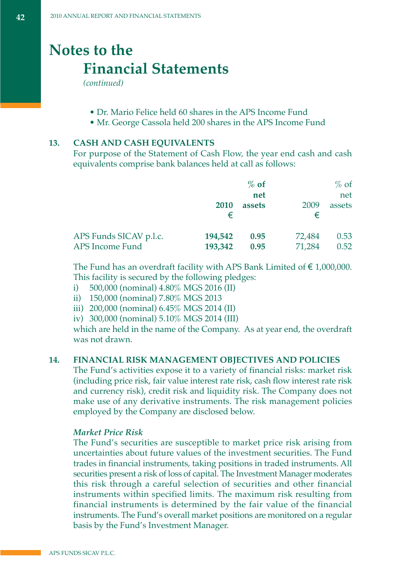### **Notes to the Financial Statements**

*(continued)*

- Dr. Mario Felice held 60 shares in the APS Income Fund
- Mr. George Cassola held 200 shares in the APS Income Fund

#### **13. CASH AND CASH EQUIVALENTS**

For purpose of the Statement of Cash Flow, the year end cash and cash equivalents comprise bank balances held at call as follows:

|                        | 2010<br>€ | $%$ of<br>net<br>assets | 2009<br>€ | $%$ of<br>net<br>assets |
|------------------------|-----------|-------------------------|-----------|-------------------------|
| APS Funds SICAV p.l.c. | 194,542   | 0.95                    | 72.484    | 0.53                    |
| APS Income Fund        | 193,342   | 0.95                    | 71.284    | 0.52                    |

The Fund has an overdraft facility with APS Bank Limited of  $\epsilon$  1,000,000. This facility is secured by the following pledges:

- i) 500,000 (nominal) 4.80% MGS 2016 (II)
- ii) 150,000 (nominal) 7.80% MGS 2013
- iii) 200,000 (nominal) 6.45% MGS 2014 (II)
- iv) 300,000 (nominal) 5.10% MGS 2014 (III)

which are held in the name of the Company. As at year end, the overdraft was not drawn.

#### **14. FINANCIAL RISK MANAGEMENT OBJECTIVES AND POLICIES**

The Fund's activities expose it to a variety of financial risks: market risk (including price risk, fair value interest rate risk, cash flow interest rate risk and currency risk), credit risk and liquidity risk. The Company does not make use of any derivative instruments. The risk management policies employed by the Company are disclosed below.

#### *Market Price Risk*

The Fund's securities are susceptible to market price risk arising from uncertainties about future values of the investment securities. The Fund trades in financial instruments, taking positions in traded instruments. All securities present a risk of loss of capital. The Investment Manager moderates this risk through a careful selection of securities and other financial instruments within specified limits. The maximum risk resulting from financial instruments is determined by the fair value of the financial instruments. The Fund's overall market positions are monitored on a regular basis by the Fund's Investment Manager.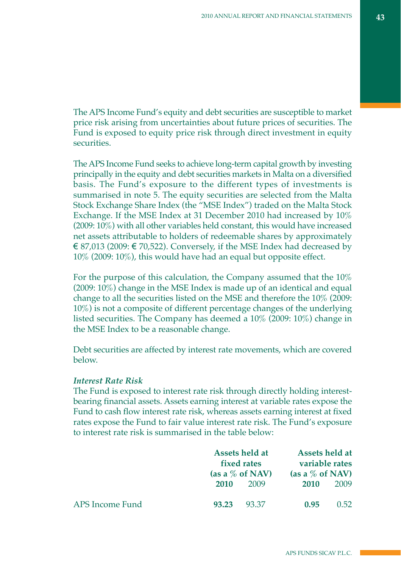The APS Income Fund's equity and debt securities are susceptible to market price risk arising from uncertainties about future prices of securities. The Fund is exposed to equity price risk through direct investment in equity securities.

The APS Income Fund seeks to achieve long-term capital growth by investing principally in the equity and debt securities markets in Malta on a diversified basis. The Fund's exposure to the different types of investments is summarised in note 5. The equity securities are selected from the Malta Stock Exchange Share Index (the "MSE Index") traded on the Malta Stock Exchange. If the MSE Index at 31 December 2010 had increased by  $10\%$ (2009: 10%) with all other variables held constant, this would have increased net assets attributable to holders of redeemable shares by approximately € 87,013 (2009: € 70,522). Conversely, if the MSE Index had decreased by 10% (2009: 10%), this would have had an equal but opposite effect.

For the purpose of this calculation, the Company assumed that the 10% (2009: 10%) change in the MSE Index is made up of an identical and equal change to all the securities listed on the MSE and therefore the 10% (2009: 10%) is not a composite of different percentage changes of the underlying listed securities. The Company has deemed a 10% (2009: 10%) change in the MSE Index to be a reasonable change.

Debt securities are affected by interest rate movements, which are covered below.

#### *Interest Rate Risk*

The Fund is exposed to interest rate risk through directly holding interestbearing financial assets. Assets earning interest at variable rates expose the Fund to cash flow interest rate risk, whereas assets earning interest at fixed rates expose the Fund to fair value interest rate risk. The Fund's exposure to interest rate risk is summarised in the table below:

|                 | Assets held at<br>fixed rates<br>(as a $\%$ of NAV) |       | Assets held at<br>variable rates<br>(as a $\%$ of NAV) |      |
|-----------------|-----------------------------------------------------|-------|--------------------------------------------------------|------|
|                 | 2010                                                | 2009  | 2010                                                   | 2009 |
| APS Income Fund | 93.23                                               | 93.37 | 0.95                                                   | 0.52 |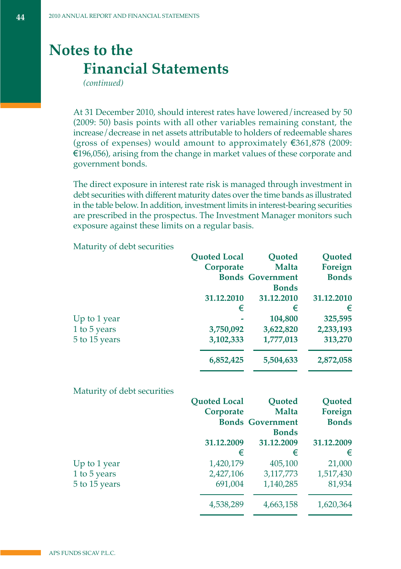### **Notes to the Financial Statements**

*(continued)*

At 31 December 2010, should interest rates have lowered/increased by 50 (2009: 50) basis points with all other variables remaining constant, the increase/decrease in net assets attributable to holders of redeemable shares (gross of expenses) would amount to approximately  $\epsilon$ 361,878 (2009: €196,056), arising from the change in market values of these corporate and government bonds.

The direct exposure in interest rate risk is managed through investment in debt securities with different maturity dates over the time bands as illustrated in the table below. In addition, investment limits in interest-bearing securities are prescribed in the prospectus. The Investment Manager monitors such exposure against these limits on a regular basis.

#### Maturity of debt securities

| <b>Quoted Local</b> | <b>Quoted</b> | Quoted                  |
|---------------------|---------------|-------------------------|
| Corporate           | Malta         | Foreign                 |
|                     |               | <b>Bonds</b>            |
|                     | <b>Bonds</b>  |                         |
| 31.12.2010          | 31.12.2010    | 31.12.2010              |
| €                   | €             | €                       |
|                     | 104,800       | 325,595                 |
| 3,750,092           | 3,622,820     | 2,233,193               |
| 3,102,333           | 1,777,013     | 313,270                 |
| 6,852,425           | 5,504,633     | 2,872,058               |
|                     |               | <b>Bonds Government</b> |

Maturity of debt securities

| <b>Quoted Local</b> | Quoted       | <b>Quoted</b>           |
|---------------------|--------------|-------------------------|
| Corporate           | Malta        | Foreign                 |
|                     |              | <b>Bonds</b>            |
|                     | <b>Bonds</b> |                         |
| 31.12.2009          | 31.12.2009   | 31.12.2009              |
| €                   | €            | €                       |
| 1,420,179           | 405,100      | 21,000                  |
| 2,427,106           | 3,117,773    | 1,517,430               |
| 691,004             | 1,140,285    | 81,934                  |
| 4,538,289           | 4,663,158    | 1,620,364               |
|                     |              | <b>Bonds Government</b> |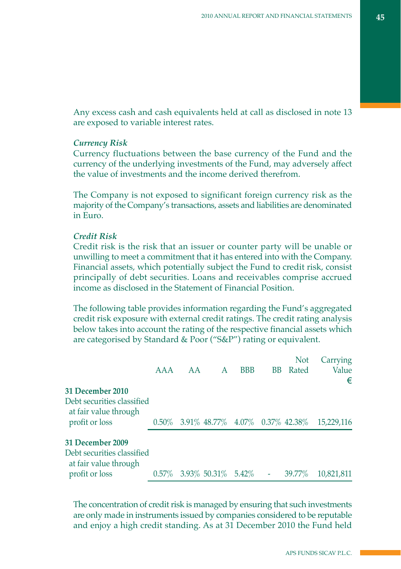Any excess cash and cash equivalents held at call as disclosed in note 13 are exposed to variable interest rates.

### *Currency Risk*

Currency fluctuations between the base currency of the Fund and the currency of the underlying investments of the Fund, may adversely affect the value of investments and the income derived therefrom.

The Company is not exposed to significant foreign currency risk as the majority of the Company's transactions, assets and liabilities are denominated in Euro.

### *Credit Risk*

Credit risk is the risk that an issuer or counter party will be unable or unwilling to meet a commitment that it has entered into with the Company. Financial assets, which potentially subject the Fund to credit risk, consist principally of debt securities. Loans and receivables comprise accrued income as disclosed in the Statement of Financial Position.

The following table provides information regarding the Fund's aggregated credit risk exposure with external credit ratings. The credit rating analysis below takes into account the rating of the respective financial assets which are categorised by Standard & Poor ("S&P") rating or equivalent.

|                                                                                           | AAA | AA | A                                             | <b>BBB</b> | BB     | Not<br>Rated | Carrying<br>Value<br>€ |
|-------------------------------------------------------------------------------------------|-----|----|-----------------------------------------------|------------|--------|--------------|------------------------|
| <b>31 December 2010</b><br>Debt securities classified<br>at fair value through            |     |    |                                               |            |        |              |                        |
| profit or loss                                                                            |     |    | $0.50\%$ 3.91\% 48.77\% 4.07\% 0.37\% 42.38\% |            |        |              | 15,229,116             |
| 31 December 2009<br>Debt securities classified<br>at fair value through<br>profit or loss |     |    | $0.57\%$ 3.93\% 50.31\% 5.42\%                |            | $\sim$ | 39.77%       | 10,821,811             |

The concentration of credit risk is managed by ensuring that such investments are only made in instruments issued by companies considered to be reputable and enjoy a high credit standing. As at 31 December 2010 the Fund held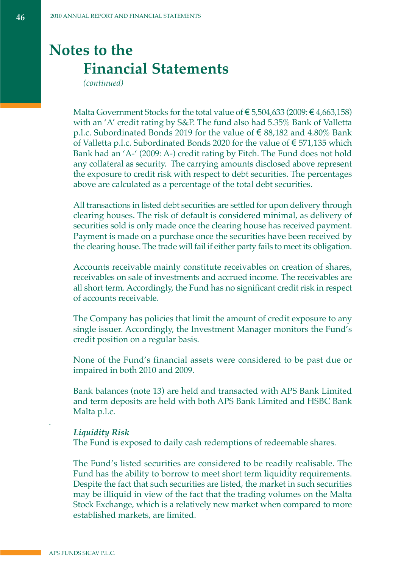### **Notes to the Financial Statements**

*(continued)*

Malta Government Stocks for the total value of € 5,504,633 (2009: € 4,663,158) with an 'A' credit rating by S&P. The fund also had 5.35% Bank of Valletta p.l.c. Subordinated Bonds 2019 for the value of  $\epsilon$  88,182 and 4.80% Bank of Valletta p.l.c. Subordinated Bonds 2020 for the value of € 571,135 which Bank had an 'A-' (2009: A-) credit rating by Fitch. The Fund does not hold any collateral as security. The carrying amounts disclosed above represent the exposure to credit risk with respect to debt securities. The percentages above are calculated as a percentage of the total debt securities.

All transactions in listed debt securities are settled for upon delivery through clearing houses. The risk of default is considered minimal, as delivery of securities sold is only made once the clearing house has received payment. Payment is made on a purchase once the securities have been received by the clearing house. The trade will fail if either party fails to meet its obligation.

Accounts receivable mainly constitute receivables on creation of shares, receivables on sale of investments and accrued income. The receivables are all short term. Accordingly, the Fund has no significant credit risk in respect of accounts receivable.

The Company has policies that limit the amount of credit exposure to any single issuer. Accordingly, the Investment Manager monitors the Fund's credit position on a regular basis.

None of the Fund's financial assets were considered to be past due or impaired in both 2010 and 2009.

Bank balances (note 13) are held and transacted with APS Bank Limited and term deposits are held with both APS Bank Limited and HSBC Bank Malta p.l.c.

#### *Liquidity Risk*

.

The Fund is exposed to daily cash redemptions of redeemable shares.

The Fund's listed securities are considered to be readily realisable. The Fund has the ability to borrow to meet short term liquidity requirements. Despite the fact that such securities are listed, the market in such securities may be illiquid in view of the fact that the trading volumes on the Malta Stock Exchange, which is a relatively new market when compared to more established markets, are limited.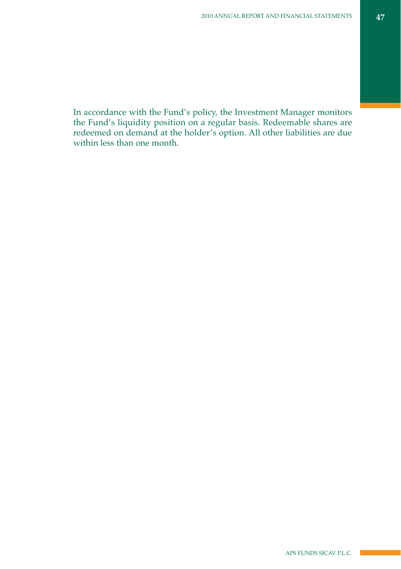In accordance with the Fund's policy, the Investment Manager monitors the Fund's liquidity position on a regular basis. Redeemable shares are redeemed on demand at the holder's option. All other liabilities are due within less than one month.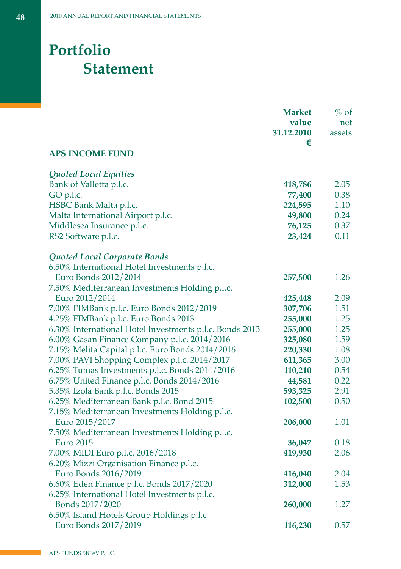# **Portfolio Statement**

|                                                                              | <b>Market</b><br>value<br>31.12.2010<br>€ | $%$ of<br>net<br>assets |
|------------------------------------------------------------------------------|-------------------------------------------|-------------------------|
| <b>APS INCOME FUND</b>                                                       |                                           |                         |
| <b>Quoted Local Equities</b>                                                 |                                           |                         |
| Bank of Valletta p.l.c.                                                      | 418,786                                   | 2.05                    |
| GO p.l.c.                                                                    | 77,400                                    | 0.38                    |
| HSBC Bank Malta p.l.c.                                                       | 224,595                                   | 1.10                    |
| Malta International Airport p.l.c.                                           | 49,800                                    | 0.24                    |
| Middlesea Insurance p.l.c.                                                   | 76,125                                    | 0.37                    |
| RS2 Software p.l.c.                                                          | 23,424                                    | 0.11                    |
|                                                                              |                                           |                         |
| Quoted Local Corporate Bonds<br>6.50% International Hotel Investments p.l.c. |                                           |                         |
| Euro Bonds 2012/2014                                                         | 257,500                                   | 1.26                    |
| 7.50% Mediterranean Investments Holding p.l.c.                               |                                           |                         |
| Euro 2012/2014                                                               | 425,448                                   | 2.09                    |
| 7.00% FIMBank p.l.c. Euro Bonds 2012/2019                                    | 307,706                                   | 1.51                    |
| 4.25% FIMBank p.l.c. Euro Bonds 2013                                         | 255,000                                   | 1.25                    |
| 6.30% International Hotel Investments p.l.c. Bonds 2013                      | 255,000                                   | 1.25                    |
| 6.00% Gasan Finance Company p.l.c. 2014/2016                                 | 325,080                                   | 1.59                    |
| 7.15% Melita Capital p.l.c. Euro Bonds 2014/2016                             | 220,330                                   | 1.08                    |
| 7.00% PAVI Shopping Complex p.l.c. 2014/2017                                 | 611,365                                   | 3.00                    |
| 6.25% Tumas Investments p.l.c. Bonds 2014/2016                               | 110,210                                   | 0.54                    |
| 6.75% United Finance p.l.c. Bonds 2014/2016                                  | 44,581                                    | 0.22                    |
| 5.35% Izola Bank p.l.c. Bonds 2015                                           | 593,325                                   | 2.91                    |
| 6.25% Mediterranean Bank p.l.c. Bond 2015                                    | 102,500                                   | 0.50                    |
| 7.15% Mediterranean Investments Holding p.l.c.                               |                                           |                         |
| Euro 2015/2017                                                               | 206,000                                   | 1.01                    |
| 7.50% Mediterranean Investments Holding p.l.c.                               |                                           |                         |
| Euro 2015                                                                    | 36,047                                    | 0.18                    |
| 7.00% MIDI Euro p.l.c. 2016/2018                                             | 419,930                                   | 2.06                    |
| 6.20% Mizzi Organisation Finance p.l.c.                                      |                                           |                         |
| Euro Bonds 2016/2019                                                         | 416,040                                   | 2.04                    |
| 6.60% Eden Finance p.l.c. Bonds 2017/2020                                    | 312,000                                   | 1.53                    |
| 6.25% International Hotel Investments p.l.c.                                 |                                           |                         |
| Bonds 2017/2020                                                              | 260,000                                   | 1.27                    |
| 6.50% Island Hotels Group Holdings p.l.c                                     |                                           |                         |
| Euro Bonds 2017/2019                                                         | 116,230                                   | 0.57                    |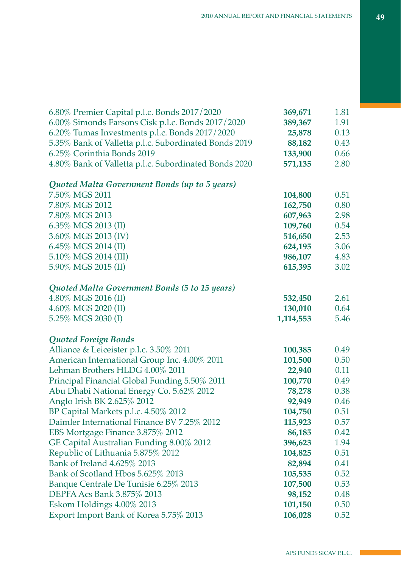| 6.80% Premier Capital p.l.c. Bonds 2017/2020          | 369,671   | 1.81 |
|-------------------------------------------------------|-----------|------|
| 6.00% Simonds Farsons Cisk p.l.c. Bonds 2017/2020     | 389,367   | 1.91 |
| 6.20% Tumas Investments p.l.c. Bonds 2017/2020        | 25,878    | 0.13 |
| 5.35% Bank of Valletta p.l.c. Subordinated Bonds 2019 | 88,182    | 0.43 |
| 6.25% Corinthia Bonds 2019                            | 133,900   | 0.66 |
| 4.80% Bank of Valletta p.l.c. Subordinated Bonds 2020 | 571,135   | 2.80 |
| Quoted Malta Government Bonds (up to 5 years)         |           |      |
| 7.50% MGS 2011                                        | 104,800   | 0.51 |
| 7.80% MGS 2012                                        | 162,750   | 0.80 |
| 7.80% MGS 2013                                        | 607,963   | 2.98 |
| 6.35% MGS 2013 (II)                                   | 109,760   | 0.54 |
| 3.60% MGS 2013 (IV)                                   | 516,650   | 2.53 |
| 6.45% MGS 2014 (II)                                   | 624,195   | 3.06 |
| 5.10% MGS 2014 (III)                                  | 986,107   | 4.83 |
| 5.90% MGS 2015 (II)                                   | 615,395   | 3.02 |
| Quoted Malta Government Bonds (5 to 15 years)         |           |      |
| 4.80% MGS 2016 (II)                                   | 532,450   | 2.61 |
| 4.60% MGS 2020 (II)                                   | 130,010   | 0.64 |
| 5.25% MGS 2030 (I)                                    | 1,114,553 | 5.46 |
| <b>Quoted Foreign Bonds</b>                           |           |      |
| Alliance & Leiceister p.l.c. 3.50% 2011               | 100,385   | 0.49 |
| American International Group Inc. 4.00% 2011          | 101,500   | 0.50 |
| Lehman Brothers HLDG 4.00% 2011                       | 22,940    | 0.11 |
| Principal Financial Global Funding 5.50% 2011         | 100,770   | 0.49 |
| Abu Dhabi National Energy Co. 5.62% 2012              | 78,278    | 0.38 |
| Anglo Irish BK 2.625% 2012                            | 92,949    | 0.46 |
| BP Capital Markets p.l.c. 4.50% 2012                  | 104,750   | 0.51 |
| Daimler International Finance BV 7.25% 2012           | 115,923   | 0.57 |
| EBS Mortgage Finance 3.875% 2012                      | 86,185    | 0.42 |
| GE Capital Australian Funding 8.00% 2012              | 396,623   | 1.94 |
| Republic of Lithuania 5.875% 2012                     | 104,825   | 0.51 |
| Bank of Ireland 4.625\% 2013                          | 82,894    | 0.41 |
| Bank of Scotland Hbos 5.625% 2013                     | 105,535   | 0.52 |
| Banque Centrale De Tunisie 6.25% 2013                 | 107,500   | 0.53 |
| DEPFA Acs Bank 3.875% 2013                            | 98,152    | 0.48 |
| Eskom Holdings 4.00% 2013                             | 101,150   | 0.50 |
| Export Import Bank of Korea 5.75% 2013                | 106,028   | 0.52 |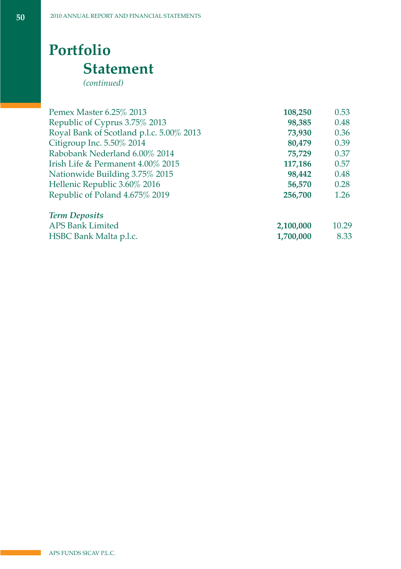# **Portfolio Statement**

*(continued)*

| 108,250   | 0.53  |
|-----------|-------|
| 98,385    | 0.48  |
| 73,930    | 0.36  |
| 80,479    | 0.39  |
| 75,729    | 0.37  |
| 117,186   | 0.57  |
| 98,442    | 0.48  |
| 56,570    | 0.28  |
| 256,700   | 1.26  |
|           |       |
| 2,100,000 | 10.29 |
| 1,700,000 | 8.33  |
|           |       |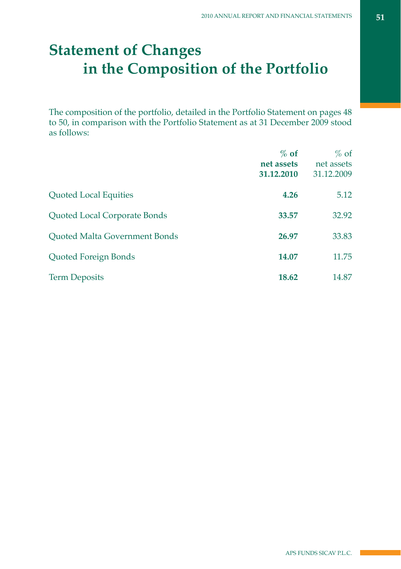## **Statement of Changes in the Composition of the Portfolio**

The composition of the portfolio, detailed in the Portfolio Statement on pages 48 to 50, in comparison with the Portfolio Statement as at 31 December 2009 stood as follows:

|                                      | $\%$ of<br>net assets<br>31.12.2010 | $%$ of<br>net assets<br>31.12.2009 |
|--------------------------------------|-------------------------------------|------------------------------------|
| <b>Quoted Local Equities</b>         | 4.26                                | 5.12                               |
| Quoted Local Corporate Bonds         | 33.57                               | 32.92                              |
| <b>Ouoted Malta Government Bonds</b> | 26.97                               | 33.83                              |
| Quoted Foreign Bonds                 | 14.07                               | 11.75                              |
| <b>Term Deposits</b>                 | 18.62                               | 14.87                              |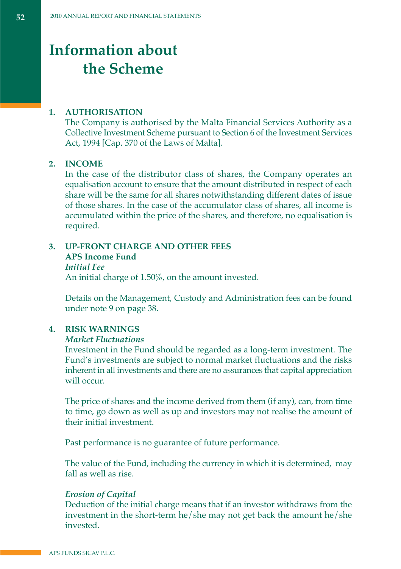### **Information about the Scheme**

#### **1. AUTHORISATION**

The Company is authorised by the Malta Financial Services Authority as a Collective Investment Scheme pursuant to Section 6 of the Investment Services Act, 1994 [Cap. 370 of the Laws of Malta].

#### **2. INCOME**

In the case of the distributor class of shares, the Company operates an equalisation account to ensure that the amount distributed in respect of each share will be the same for all shares notwithstanding different dates of issue of those shares. In the case of the accumulator class of shares, all income is accumulated within the price of the shares, and therefore, no equalisation is required.

### **3. UP-FRONT CHARGE AND OTHER FEES APS Income Fund** *Initial Fee*

An initial charge of 1.50%, on the amount invested.

Details on the Management, Custody and Administration fees can be found under note 9 on page 38.

#### **4. RISK WARNINGS**

#### *Market Fluctuations*

Investment in the Fund should be regarded as a long-term investment. The Fund's investments are subject to normal market fluctuations and the risks inherent in all investments and there are no assurances that capital appreciation will occur.

The price of shares and the income derived from them (if any), can, from time to time, go down as well as up and investors may not realise the amount of their initial investment.

Past performance is no guarantee of future performance.

The value of the Fund, including the currency in which it is determined, may fall as well as rise.

#### *Erosion of Capital*

Deduction of the initial charge means that if an investor withdraws from the investment in the short-term he/she may not get back the amount he/she invested.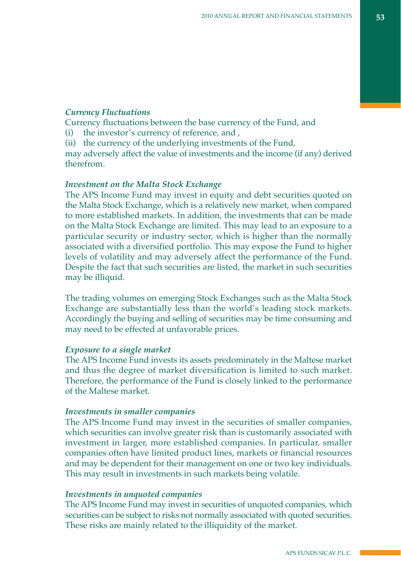#### *Currency Fluctuations*

Currency fluctuations between the base currency of the Fund, and (i) the investor's currency of reference, and ,

(ii) the currency of the underlying investments of the Fund,

may adversely affect the value of investments and the income (if any) derived therefrom.

#### *Investment on the Malta Stock Exchange*

The APS Income Fund may invest in equity and debt securities quoted on the Malta Stock Exchange, which is a relatively new market, when compared to more established markets. In addition, the investments that can be made on the Malta Stock Exchange are limited. This may lead to an exposure to a particular security or industry sector, which is higher than the normally associated with a diversified portfolio. This may expose the Fund to higher levels of volatility and may adversely affect the performance of the Fund. Despite the fact that such securities are listed, the market in such securities may be illiquid.

The trading volumes on emerging Stock Exchanges such as the Malta Stock Exchange are substantially less than the world's leading stock markets. Accordingly the buying and selling of securities may be time consuming and may need to be effected at unfavorable prices.

#### *Exposure to a single market*

The APS Income Fund invests its assets predominately in the Maltese market and thus the degree of market diversification is limited to such market. Therefore, the performance of the Fund is closely linked to the performance of the Maltese market.

#### *Investments in smaller companies*

The APS Income Fund may invest in the securities of smaller companies, which securities can involve greater risk than is customarily associated with investment in larger, more established companies. In particular, smaller companies often have limited product lines, markets or financial resources and may be dependent for their management on one or two key individuals. This may result in investments in such markets being volatile.

#### *Investments in unquoted companies*

The APS Income Fund may invest in securities of unquoted companies, which securities can be subject to risks not normally associated with quoted securities. These risks are mainly related to the illiquidity of the market.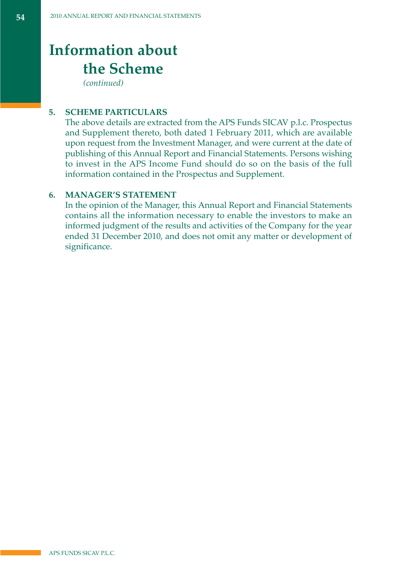## **Information about the Scheme**

*(continued)*

#### **5. SCHEME PARTICULARS**

The above details are extracted from the APS Funds SICAV p.l.c. Prospectus and Supplement thereto, both dated 1 February 2011, which are available upon request from the Investment Manager, and were current at the date of publishing of this Annual Report and Financial Statements. Persons wishing to invest in the APS Income Fund should do so on the basis of the full information contained in the Prospectus and Supplement.

#### **6. MANAGER'S STATEMENT**

In the opinion of the Manager, this Annual Report and Financial Statements contains all the information necessary to enable the investors to make an informed judgment of the results and activities of the Company for the year ended 31 December 2010, and does not omit any matter or development of significance.